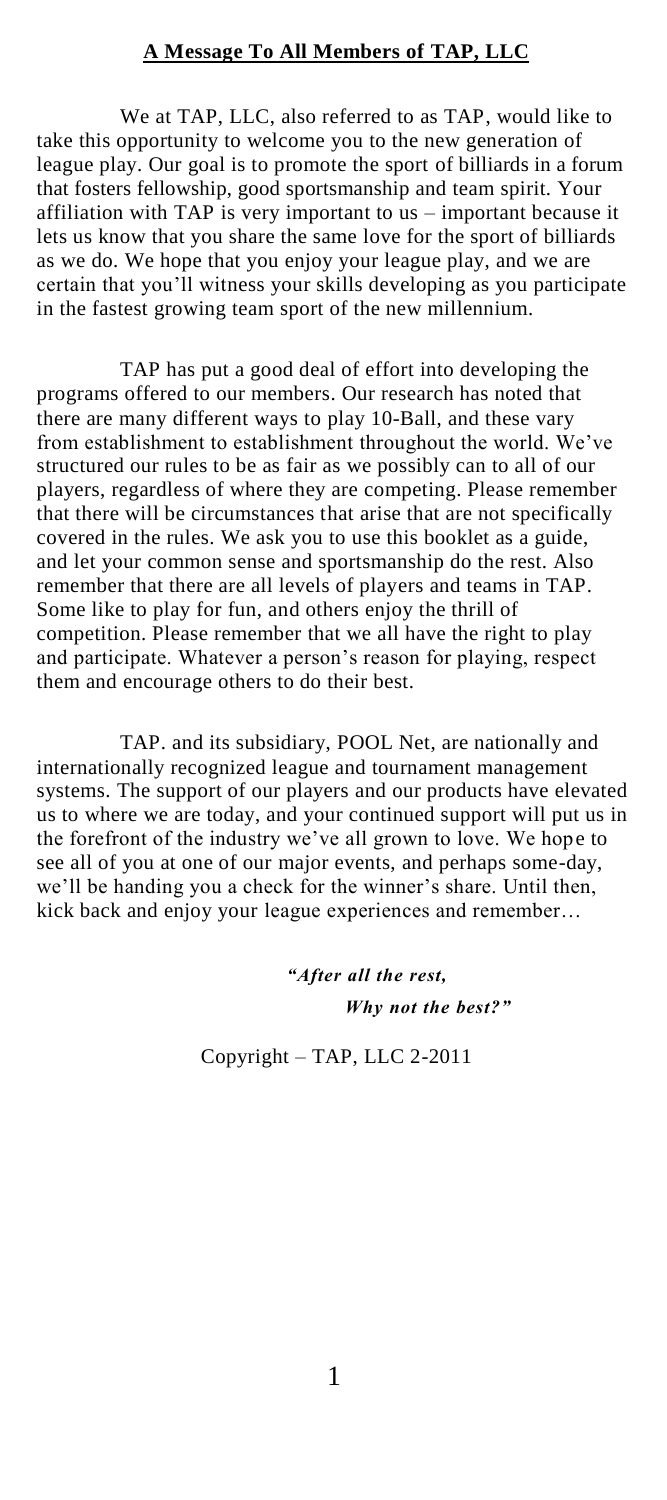### **A Message To All Members of TAP, LLC**

We at TAP, LLC, also referred to as TAP, would like to take this opportunity to welcome you to the new generation of league play. Our goal is to promote the sport of billiards in a forum that fosters fellowship, good sportsmanship and team spirit. Your affiliation with TAP is very important to us – important because it lets us know that you share the same love for the sport of billiards as we do. We hope that you enjoy your league play, and we are certain that you"ll witness your skills developing as you participate in the fastest growing team sport of the new millennium.

TAP has put a good deal of effort into developing the programs offered to our members. Our research has noted that there are many different ways to play 10-Ball, and these vary from establishment to establishment throughout the world. We've structured our rules to be as fair as we possibly can to all of our players, regardless of where they are competing. Please remember that there will be circumstances that arise that are not specifically covered in the rules. We ask you to use this booklet as a guide, and let your common sense and sportsmanship do the rest. Also remember that there are all levels of players and teams in TAP. Some like to play for fun, and others enjoy the thrill of competition. Please remember that we all have the right to play and participate. Whatever a person's reason for playing, respect them and encourage others to do their best.

TAP. and its subsidiary, POOL Net, are nationally and internationally recognized league and tournament management systems. The support of our players and our products have elevated us to where we are today, and your continued support will put us in the forefront of the industry we"ve all grown to love. We hope to see all of you at one of our major events, and perhaps some-day, we'll be handing you a check for the winner's share. Until then, kick back and enjoy your league experiences and remember…

> *"After all the rest, Why not the best?"*

Copyright – TAP, LLC 2-2011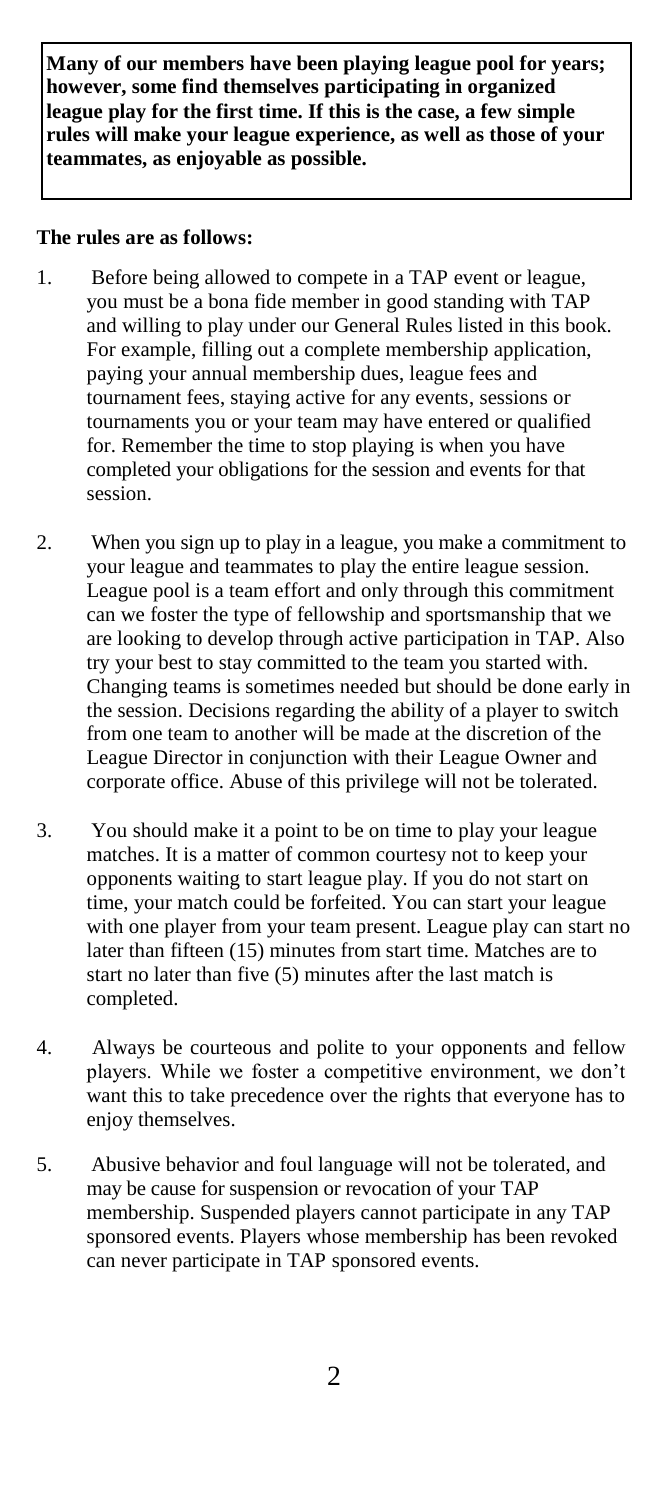**Many of our members have been playing league pool for years; however, some find themselves participating in organized league play for the first time. If this is the case, a few simple rules will make your league experience, as well as those of your teammates, as enjoyable as possible.**

### **The rules are as follows:**

- 1. Before being allowed to compete in a TAP event or league, you must be a bona fide member in good standing with TAP and willing to play under our General Rules listed in this book. For example, filling out a complete membership application, paying your annual membership dues, league fees and tournament fees, staying active for any events, sessions or tournaments you or your team may have entered or qualified for. Remember the time to stop playing is when you have completed your obligations for the session and events for that session.
- 2. When you sign up to play in a league, you make a commitment to your league and teammates to play the entire league session. League pool is a team effort and only through this commitment can we foster the type of fellowship and sportsmanship that we are looking to develop through active participation in TAP. Also try your best to stay committed to the team you started with. Changing teams is sometimes needed but should be done early in the session. Decisions regarding the ability of a player to switch from one team to another will be made at the discretion of the League Director in conjunction with their League Owner and corporate office. Abuse of this privilege will not be tolerated.
- 3. You should make it a point to be on time to play your league matches. It is a matter of common courtesy not to keep your opponents waiting to start league play. If you do not start on time, your match could be forfeited. You can start your league with one player from your team present. League play can start no later than fifteen (15) minutes from start time. Matches are to start no later than five (5) minutes after the last match is completed.
- 4. Always be courteous and polite to your opponents and fellow players. While we foster a competitive environment, we don"t want this to take precedence over the rights that everyone has to enjoy themselves.
- 5. Abusive behavior and foul language will not be tolerated, and may be cause for suspension or revocation of your TAP membership. Suspended players cannot participate in any TAP sponsored events. Players whose membership has been revoked can never participate in TAP sponsored events.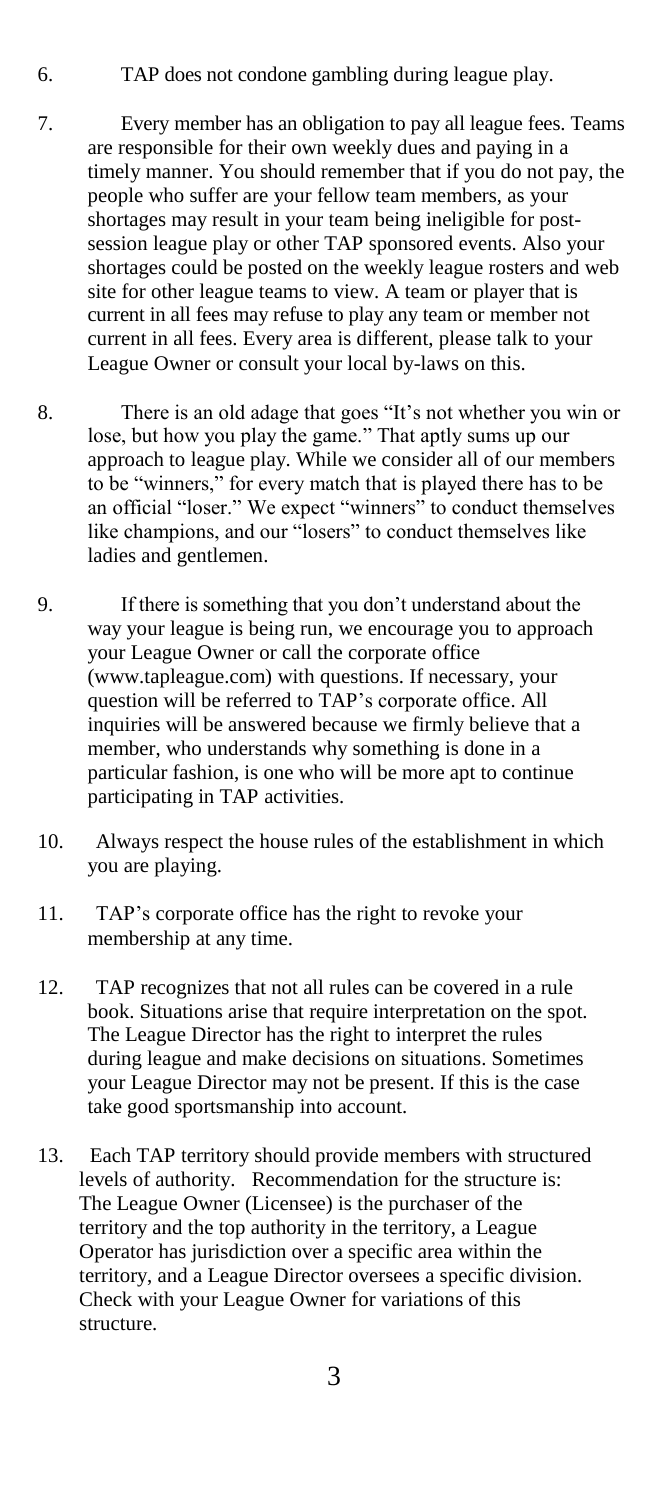- 6. TAP does not condone gambling during league play.
- 7. Every member has an obligation to pay all league fees. Teams are responsible for their own weekly dues and paying in a timely manner. You should remember that if you do not pay, the people who suffer are your fellow team members, as your shortages may result in your team being ineligible for postsession league play or other TAP sponsored events. Also your shortages could be posted on the weekly league rosters and web site for other league teams to view. A team or player that is current in all fees may refuse to play any team or member not current in all fees. Every area is different, please talk to your League Owner or consult your local by-laws on this.
- 8. There is an old adage that goes "It"s not whether you win or lose, but how you play the game." That aptly sums up our approach to league play. While we consider all of our members to be "winners," for every match that is played there has to be an official "loser." We expect "winners" to conduct themselves like champions, and our "losers" to conduct themselves like ladies and gentlemen.
- 9. If there is something that you don"t understand about the way your league is being run, we encourage you to approach your League Owner or call the corporate office (www.tapleague.com) with questions. If necessary, your question will be referred to TAP"s corporate office. All inquiries will be answered because we firmly believe that a member, who understands why something is done in a particular fashion, is one who will be more apt to continue participating in TAP activities.
- 10. Always respect the house rules of the establishment in which you are playing.
- 11. TAP"s corporate office has the right to revoke your membership at any time.
- 12. TAP recognizes that not all rules can be covered in a rule book. Situations arise that require interpretation on the spot. The League Director has the right to interpret the rules during league and make decisions on situations. Sometimes your League Director may not be present. If this is the case take good sportsmanship into account.
- 13. Each TAP territory should provide members with structured levels of authority. Recommendation for the structure is: The League Owner (Licensee) is the purchaser of the territory and the top authority in the territory, a League Operator has jurisdiction over a specific area within the territory, and a League Director oversees a specific division. Check with your League Owner for variations of this structure.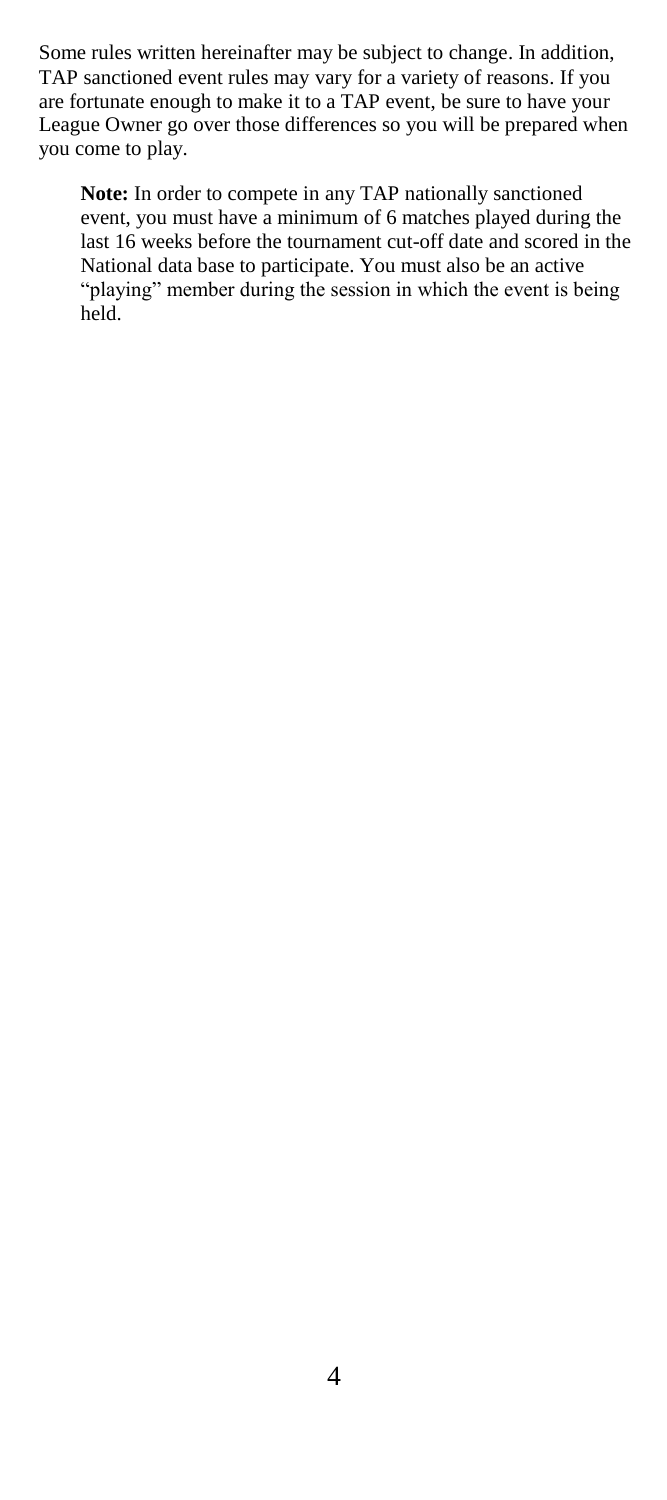Some rules written hereinafter may be subject to change. In addition, TAP sanctioned event rules may vary for a variety of reasons. If you are fortunate enough to make it to a TAP event, be sure to have your League Owner go over those differences so you will be prepared when you come to play.

**Note:** In order to compete in any TAP nationally sanctioned event, you must have a minimum of 6 matches played during the last 16 weeks before the tournament cut-off date and scored in the National data base to participate. You must also be an active "playing" member during the session in which the event is being held.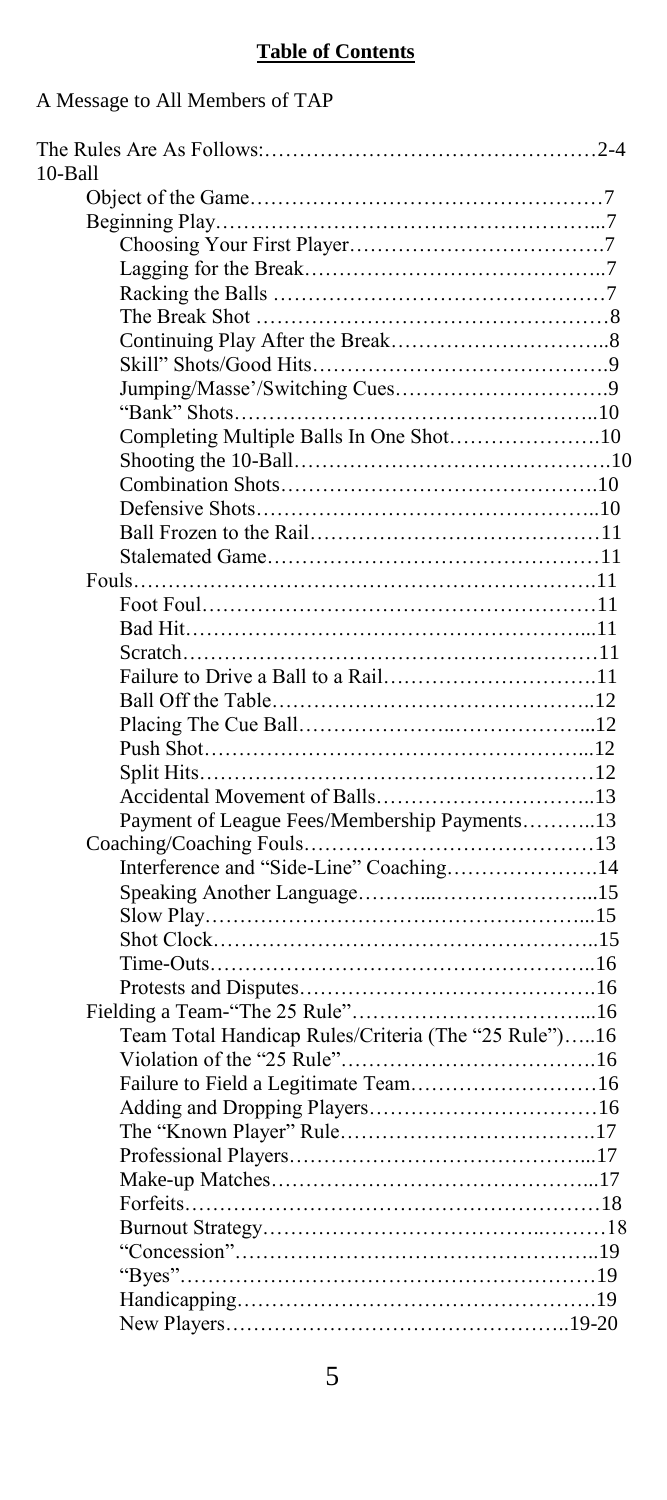# **Table of Contents**

A Message to All Members of TAP

| 10-Ball                                              |  |
|------------------------------------------------------|--|
|                                                      |  |
|                                                      |  |
|                                                      |  |
|                                                      |  |
|                                                      |  |
|                                                      |  |
|                                                      |  |
|                                                      |  |
|                                                      |  |
|                                                      |  |
|                                                      |  |
|                                                      |  |
|                                                      |  |
|                                                      |  |
|                                                      |  |
|                                                      |  |
|                                                      |  |
|                                                      |  |
|                                                      |  |
|                                                      |  |
|                                                      |  |
| Failure to Drive a Ball to a Rail11                  |  |
|                                                      |  |
|                                                      |  |
|                                                      |  |
|                                                      |  |
|                                                      |  |
| Payment of League Fees/Membership Payments13         |  |
|                                                      |  |
| Interference and "Side-Line" Coaching14              |  |
|                                                      |  |
|                                                      |  |
|                                                      |  |
|                                                      |  |
|                                                      |  |
|                                                      |  |
|                                                      |  |
| Team Total Handicap Rules/Criteria (The "25 Rule")16 |  |
|                                                      |  |
| Failure to Field a Legitimate Team16                 |  |
|                                                      |  |
|                                                      |  |
|                                                      |  |
|                                                      |  |
|                                                      |  |
|                                                      |  |
|                                                      |  |
|                                                      |  |
|                                                      |  |
|                                                      |  |
|                                                      |  |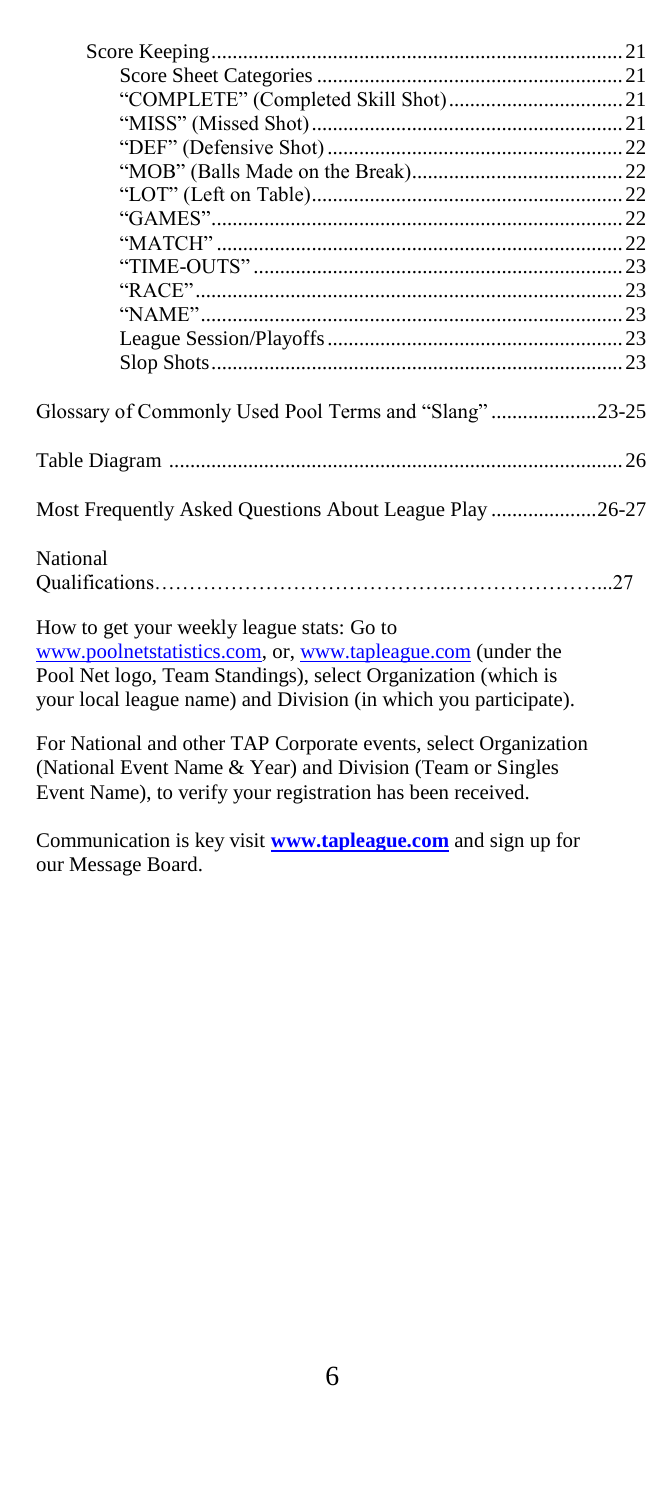| Glossary of Commonly Used Pool Terms and "Slang"23-25            |
|------------------------------------------------------------------|
|                                                                  |
| Most Frequently Asked Questions About League Play 26-27          |
| National                                                         |
|                                                                  |
| How to get your weekly league stats: Go to                       |
| www.poolnetstatistics.com, or, www.tapleague.com (under the      |
| Pool Net logo, Team Standings), select Organization (which is    |
| your local league name) and Division (in which you participate). |
| For National and other TAP Corporate events, select Organization |
| (National Event Name & Year) and Division (Team or Singles       |

Communication is key visit **[www.tapleague.com](http://www.tapleague.com/)** and sign up for our Message Board.

Event Name), to verify your registration has been received.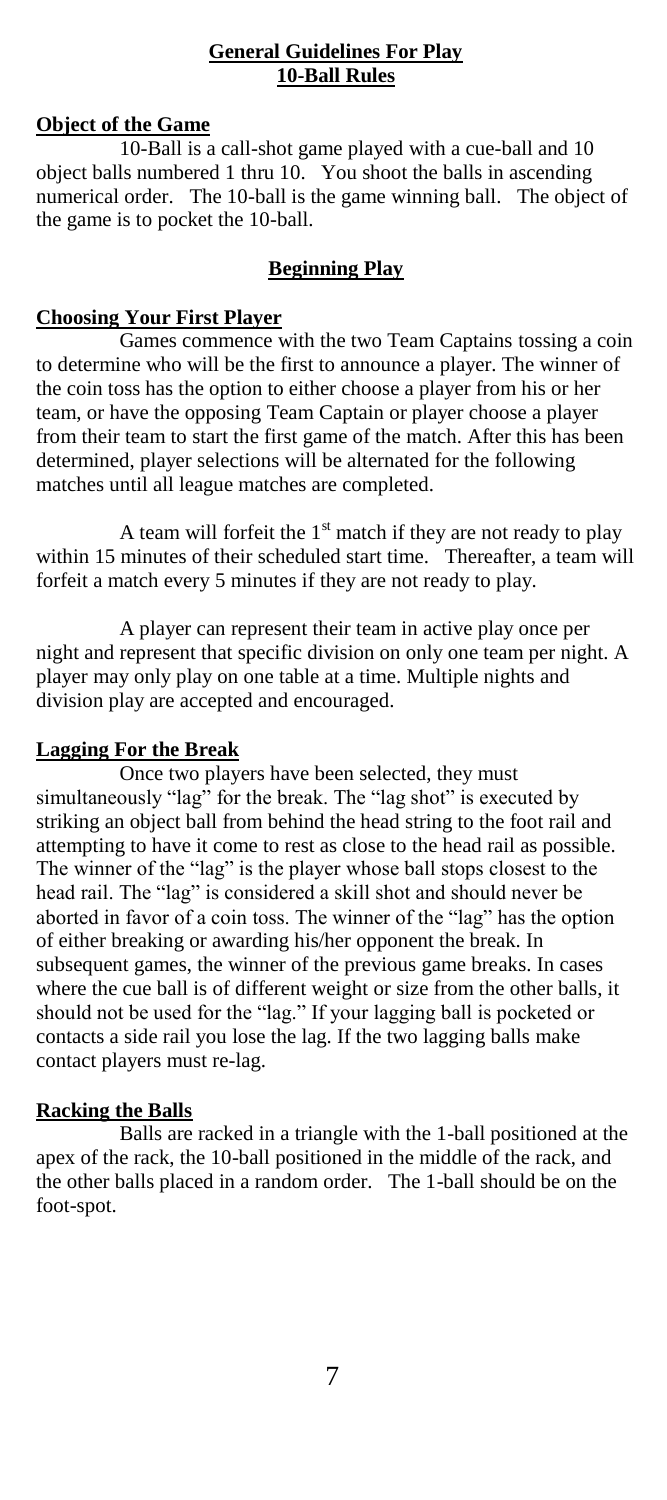## **General Guidelines For Play 10-Ball Rules**

# **Object of the Game**

10-Ball is a call-shot game played with a cue-ball and 10 object balls numbered 1 thru 10. You shoot the balls in ascending numerical order. The 10-ball is the game winning ball. The object of the game is to pocket the 10-ball.

# **Beginning Play**

# **Choosing Your First Player**

Games commence with the two Team Captains tossing a coin to determine who will be the first to announce a player. The winner of the coin toss has the option to either choose a player from his or her team, or have the opposing Team Captain or player choose a player from their team to start the first game of the match. After this has been determined, player selections will be alternated for the following matches until all league matches are completed.

A team will forfeit the  $1<sup>st</sup>$  match if they are not ready to play within 15 minutes of their scheduled start time. Thereafter, a team will forfeit a match every 5 minutes if they are not ready to play.

A player can represent their team in active play once per night and represent that specific division on only one team per night. A player may only play on one table at a time. Multiple nights and division play are accepted and encouraged.

# **Lagging For the Break**

Once two players have been selected, they must simultaneously "lag" for the break. The "lag shot" is executed by striking an object ball from behind the head string to the foot rail and attempting to have it come to rest as close to the head rail as possible. The winner of the "lag" is the player whose ball stops closest to the head rail. The "lag" is considered a skill shot and should never be aborted in favor of a coin toss. The winner of the "lag" has the option of either breaking or awarding his/her opponent the break. In subsequent games, the winner of the previous game breaks. In cases where the cue ball is of different weight or size from the other balls, it should not be used for the "lag." If your lagging ball is pocketed or contacts a side rail you lose the lag. If the two lagging balls make contact players must re-lag.

# **Racking the Balls**

Balls are racked in a triangle with the 1-ball positioned at the apex of the rack, the 10-ball positioned in the middle of the rack, and the other balls placed in a random order. The 1-ball should be on the foot-spot.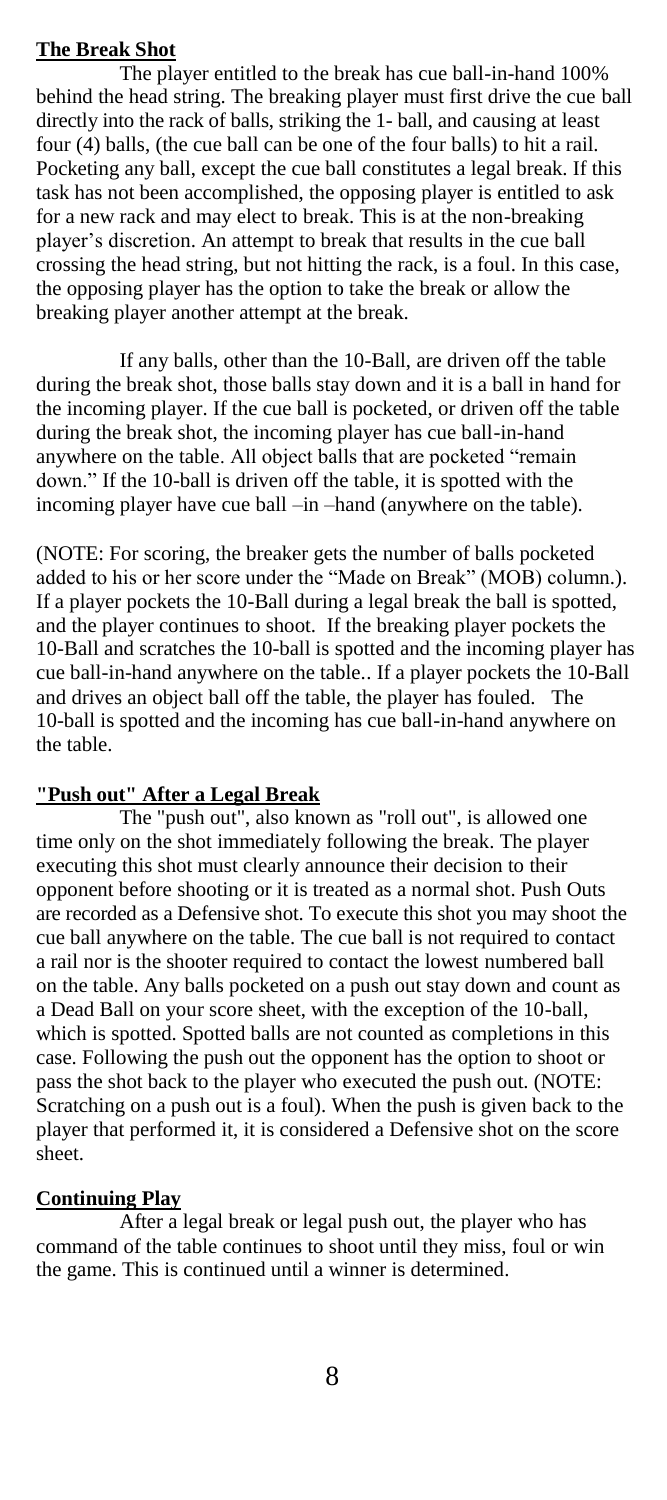### **The Break Shot**

The player entitled to the break has cue ball-in-hand 100% behind the head string. The breaking player must first drive the cue ball directly into the rack of balls, striking the 1- ball, and causing at least four (4) balls, (the cue ball can be one of the four balls) to hit a rail. Pocketing any ball, except the cue ball constitutes a legal break. If this task has not been accomplished, the opposing player is entitled to ask for a new rack and may elect to break. This is at the non-breaking player"s discretion. An attempt to break that results in the cue ball crossing the head string, but not hitting the rack, is a foul. In this case, the opposing player has the option to take the break or allow the breaking player another attempt at the break.

If any balls, other than the 10-Ball, are driven off the table during the break shot, those balls stay down and it is a ball in hand for the incoming player. If the cue ball is pocketed, or driven off the table during the break shot, the incoming player has cue ball-in-hand anywhere on the table. All object balls that are pocketed "remain down." If the 10-ball is driven off the table, it is spotted with the incoming player have cue ball –in –hand (anywhere on the table).

(NOTE: For scoring, the breaker gets the number of balls pocketed added to his or her score under the "Made on Break" (MOB) column.). If a player pockets the 10-Ball during a legal break the ball is spotted, and the player continues to shoot. If the breaking player pockets the 10-Ball and scratches the 10-ball is spotted and the incoming player has cue ball-in-hand anywhere on the table.. If a player pockets the 10-Ball and drives an object ball off the table, the player has fouled. The 10-ball is spotted and the incoming has cue ball-in-hand anywhere on the table.

## **"Push out" After a Legal Break**

The "push out", also known as "roll out", is allowed one time only on the shot immediately following the break. The player executing this shot must clearly announce their decision to their opponent before shooting or it is treated as a normal shot. Push Outs are recorded as a Defensive shot. To execute this shot you may shoot the cue ball anywhere on the table. The cue ball is not required to contact a rail nor is the shooter required to contact the lowest numbered ball on the table. Any balls pocketed on a push out stay down and count as a Dead Ball on your score sheet, with the exception of the 10-ball, which is spotted. Spotted balls are not counted as completions in this case. Following the push out the opponent has the option to shoot or pass the shot back to the player who executed the push out. (NOTE: Scratching on a push out is a foul). When the push is given back to the player that performed it, it is considered a Defensive shot on the score sheet.

#### **Continuing Play**

After a legal break or legal push out, the player who has command of the table continues to shoot until they miss, foul or win the game. This is continued until a winner is determined.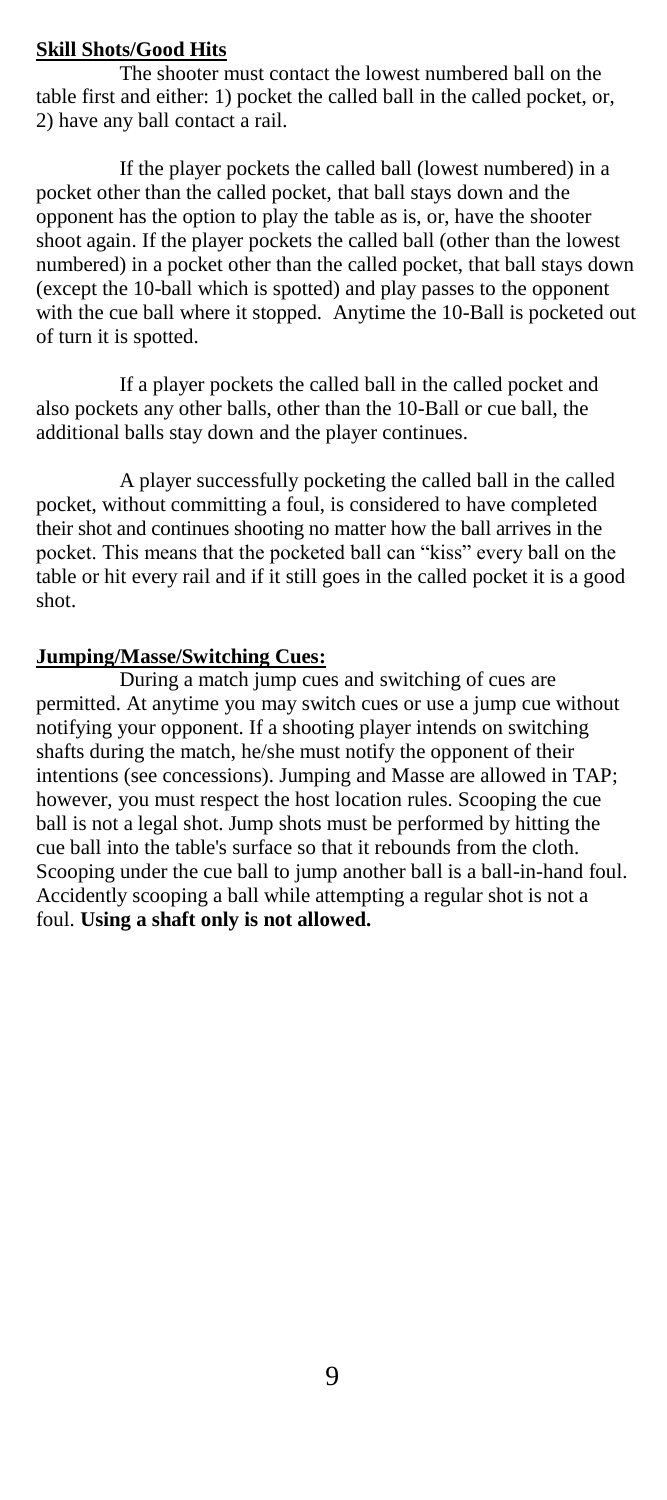## **Skill Shots/Good Hits**

The shooter must contact the lowest numbered ball on the table first and either: 1) pocket the called ball in the called pocket, or, 2) have any ball contact a rail.

If the player pockets the called ball (lowest numbered) in a pocket other than the called pocket, that ball stays down and the opponent has the option to play the table as is, or, have the shooter shoot again. If the player pockets the called ball (other than the lowest numbered) in a pocket other than the called pocket, that ball stays down (except the 10-ball which is spotted) and play passes to the opponent with the cue ball where it stopped. Anytime the 10-Ball is pocketed out of turn it is spotted.

If a player pockets the called ball in the called pocket and also pockets any other balls, other than the 10-Ball or cue ball, the additional balls stay down and the player continues.

A player successfully pocketing the called ball in the called pocket, without committing a foul, is considered to have completed their shot and continues shooting no matter how the ball arrives in the pocket. This means that the pocketed ball can "kiss" every ball on the table or hit every rail and if it still goes in the called pocket it is a good shot.

## **Jumping/Masse/Switching Cues:**

During a match jump cues and switching of cues are permitted. At anytime you may switch cues or use a jump cue without notifying your opponent. If a shooting player intends on switching shafts during the match, he/she must notify the opponent of their intentions (see concessions). Jumping and Masse are allowed in TAP; however, you must respect the host location rules. Scooping the cue ball is not a legal shot. Jump shots must be performed by hitting the cue ball into the table's surface so that it rebounds from the cloth. Scooping under the cue ball to jump another ball is a ball-in-hand foul. Accidently scooping a ball while attempting a regular shot is not a foul. **Using a shaft only is not allowed.**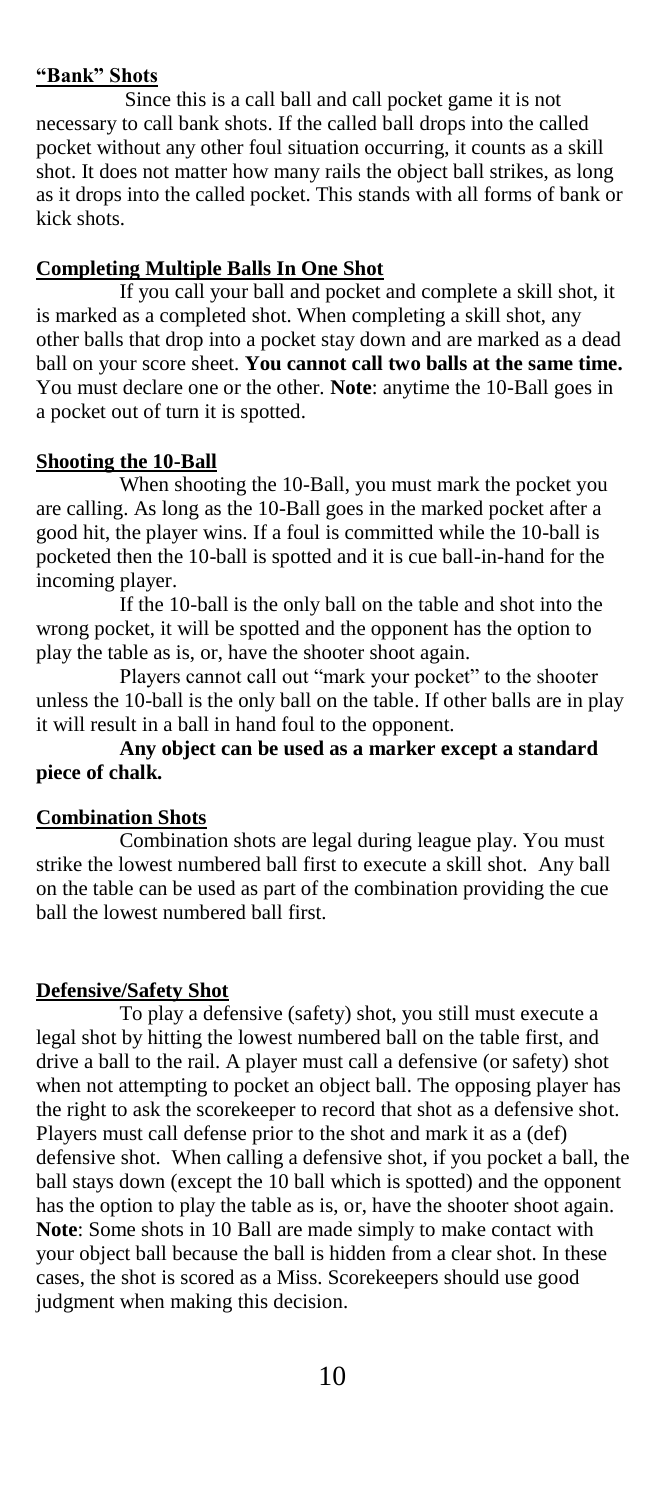#### **"Bank" Shots**

Since this is a call ball and call pocket game it is not necessary to call bank shots. If the called ball drops into the called pocket without any other foul situation occurring, it counts as a skill shot. It does not matter how many rails the object ball strikes, as long as it drops into the called pocket. This stands with all forms of bank or kick shots.

#### **Completing Multiple Balls In One Shot**

If you call your ball and pocket and complete a skill shot, it is marked as a completed shot. When completing a skill shot, any other balls that drop into a pocket stay down and are marked as a dead ball on your score sheet. **You cannot call two balls at the same time.**  You must declare one or the other. **Note**: anytime the 10-Ball goes in a pocket out of turn it is spotted.

#### **Shooting the 10-Ball**

When shooting the 10-Ball, you must mark the pocket you are calling. As long as the 10-Ball goes in the marked pocket after a good hit, the player wins. If a foul is committed while the 10-ball is pocketed then the 10-ball is spotted and it is cue ball-in-hand for the incoming player.

If the 10-ball is the only ball on the table and shot into the wrong pocket, it will be spotted and the opponent has the option to play the table as is, or, have the shooter shoot again.

Players cannot call out "mark your pocket" to the shooter unless the 10-ball is the only ball on the table. If other balls are in play it will result in a ball in hand foul to the opponent.

**Any object can be used as a marker except a standard piece of chalk.**

#### **Combination Shots**

Combination shots are legal during league play. You must strike the lowest numbered ball first to execute a skill shot. Any ball on the table can be used as part of the combination providing the cue ball the lowest numbered ball first.

#### **Defensive/Safety Shot**

To play a defensive (safety) shot, you still must execute a legal shot by hitting the lowest numbered ball on the table first, and drive a ball to the rail. A player must call a defensive (or safety) shot when not attempting to pocket an object ball. The opposing player has the right to ask the scorekeeper to record that shot as a defensive shot. Players must call defense prior to the shot and mark it as a (def) defensive shot. When calling a defensive shot, if you pocket a ball, the ball stays down (except the 10 ball which is spotted) and the opponent has the option to play the table as is, or, have the shooter shoot again. **Note**: Some shots in 10 Ball are made simply to make contact with your object ball because the ball is hidden from a clear shot. In these cases, the shot is scored as a Miss. Scorekeepers should use good judgment when making this decision.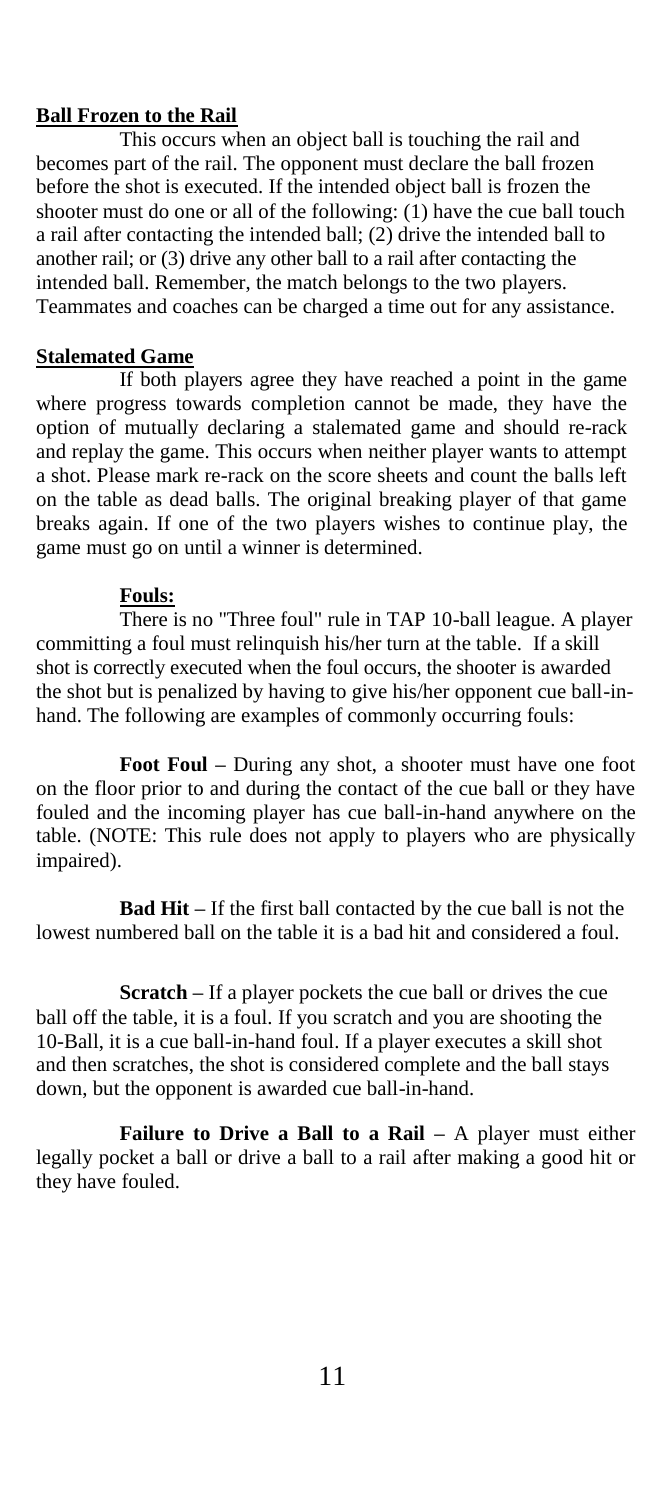### **Ball Frozen to the Rail**

This occurs when an object ball is touching the rail and becomes part of the rail. The opponent must declare the ball frozen before the shot is executed. If the intended object ball is frozen the shooter must do one or all of the following: (1) have the cue ball touch a rail after contacting the intended ball; (2) drive the intended ball to another rail; or (3) drive any other ball to a rail after contacting the intended ball. Remember, the match belongs to the two players. Teammates and coaches can be charged a time out for any assistance.

### **Stalemated Game**

If both players agree they have reached a point in the game where progress towards completion cannot be made, they have the option of mutually declaring a stalemated game and should re-rack and replay the game. This occurs when neither player wants to attempt a shot. Please mark re-rack on the score sheets and count the balls left on the table as dead balls. The original breaking player of that game breaks again. If one of the two players wishes to continue play, the game must go on until a winner is determined.

#### **Fouls:**

There is no "Three foul" rule in TAP 10-ball league. A player committing a foul must relinquish his/her turn at the table. If a skill shot is correctly executed when the foul occurs, the shooter is awarded the shot but is penalized by having to give his/her opponent cue ball-inhand. The following are examples of commonly occurring fouls:

**Foot Foul –** During any shot, a shooter must have one foot on the floor prior to and during the contact of the cue ball or they have fouled and the incoming player has cue ball-in-hand anywhere on the table. (NOTE: This rule does not apply to players who are physically impaired).

**Bad Hit –** If the first ball contacted by the cue ball is not the lowest numbered ball on the table it is a bad hit and considered a foul.

**Scratch –** If a player pockets the cue ball or drives the cue ball off the table, it is a foul. If you scratch and you are shooting the 10-Ball, it is a cue ball-in-hand foul. If a player executes a skill shot and then scratches, the shot is considered complete and the ball stays down, but the opponent is awarded cue ball-in-hand.

**Failure to Drive a Ball to a Rail –** A player must either legally pocket a ball or drive a ball to a rail after making a good hit or they have fouled.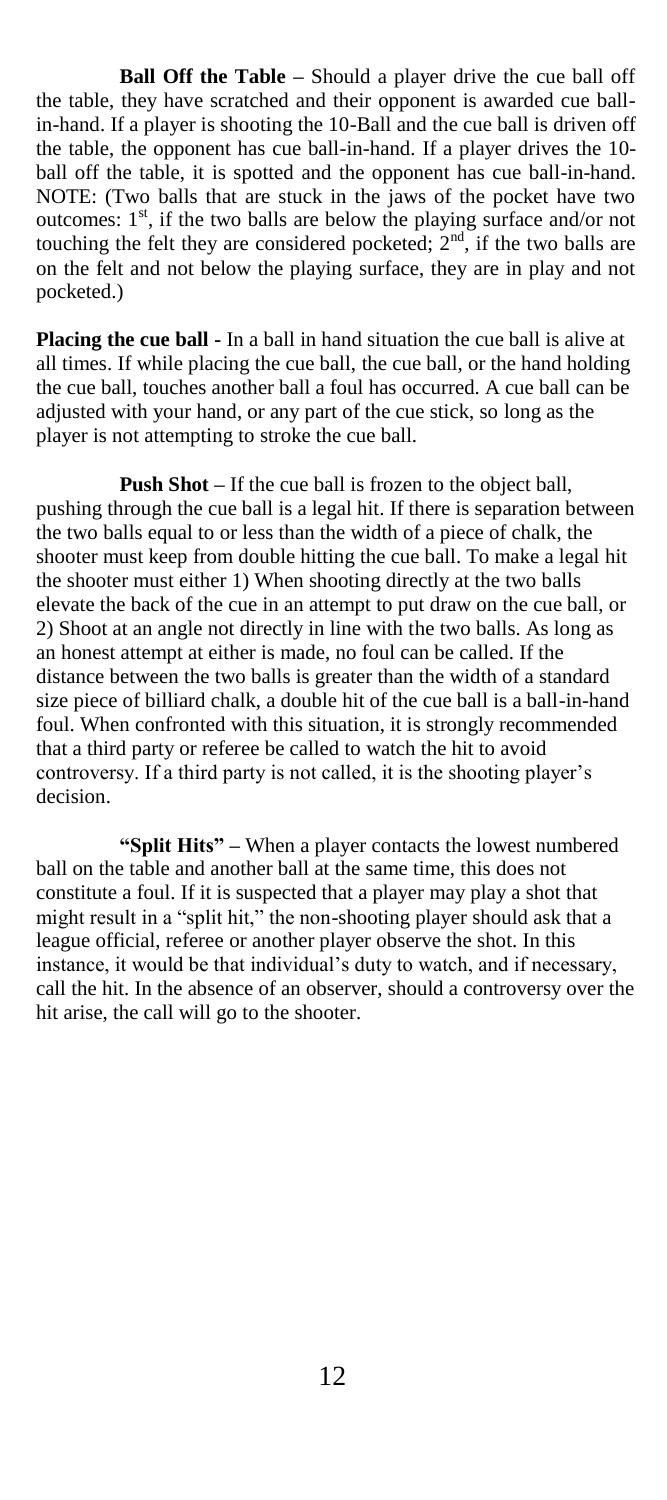**Ball Off the Table –** Should a player drive the cue ball off the table, they have scratched and their opponent is awarded cue ballin-hand. If a player is shooting the 10-Ball and the cue ball is driven off the table, the opponent has cue ball-in-hand. If a player drives the 10 ball off the table, it is spotted and the opponent has cue ball-in-hand. NOTE: (Two balls that are stuck in the jaws of the pocket have two outcomes: 1<sup>st</sup>, if the two balls are below the playing surface and/or not touching the felt they are considered pocketed;  $2<sup>nd</sup>$ , if the two balls are on the felt and not below the playing surface, they are in play and not pocketed.)

**Placing the cue ball -** In a ball in hand situation the cue ball is alive at all times. If while placing the cue ball, the cue ball, or the hand holding the cue ball, touches another ball a foul has occurred. A cue ball can be adjusted with your hand, or any part of the cue stick, so long as the player is not attempting to stroke the cue ball.

**Push Shot –** If the cue ball is frozen to the object ball, pushing through the cue ball is a legal hit. If there is separation between the two balls equal to or less than the width of a piece of chalk, the shooter must keep from double hitting the cue ball. To make a legal hit the shooter must either 1) When shooting directly at the two balls elevate the back of the cue in an attempt to put draw on the cue ball, or 2) Shoot at an angle not directly in line with the two balls. As long as an honest attempt at either is made, no foul can be called. If the distance between the two balls is greater than the width of a standard size piece of billiard chalk, a double hit of the cue ball is a ball-in-hand foul. When confronted with this situation, it is strongly recommended that a third party or referee be called to watch the hit to avoid controversy. If a third party is not called, it is the shooting player"s decision.

**"Split Hits" –** When a player contacts the lowest numbered ball on the table and another ball at the same time, this does not constitute a foul. If it is suspected that a player may play a shot that might result in a "split hit," the non-shooting player should ask that a league official, referee or another player observe the shot. In this instance, it would be that individual"s duty to watch, and if necessary, call the hit. In the absence of an observer, should a controversy over the hit arise, the call will go to the shooter.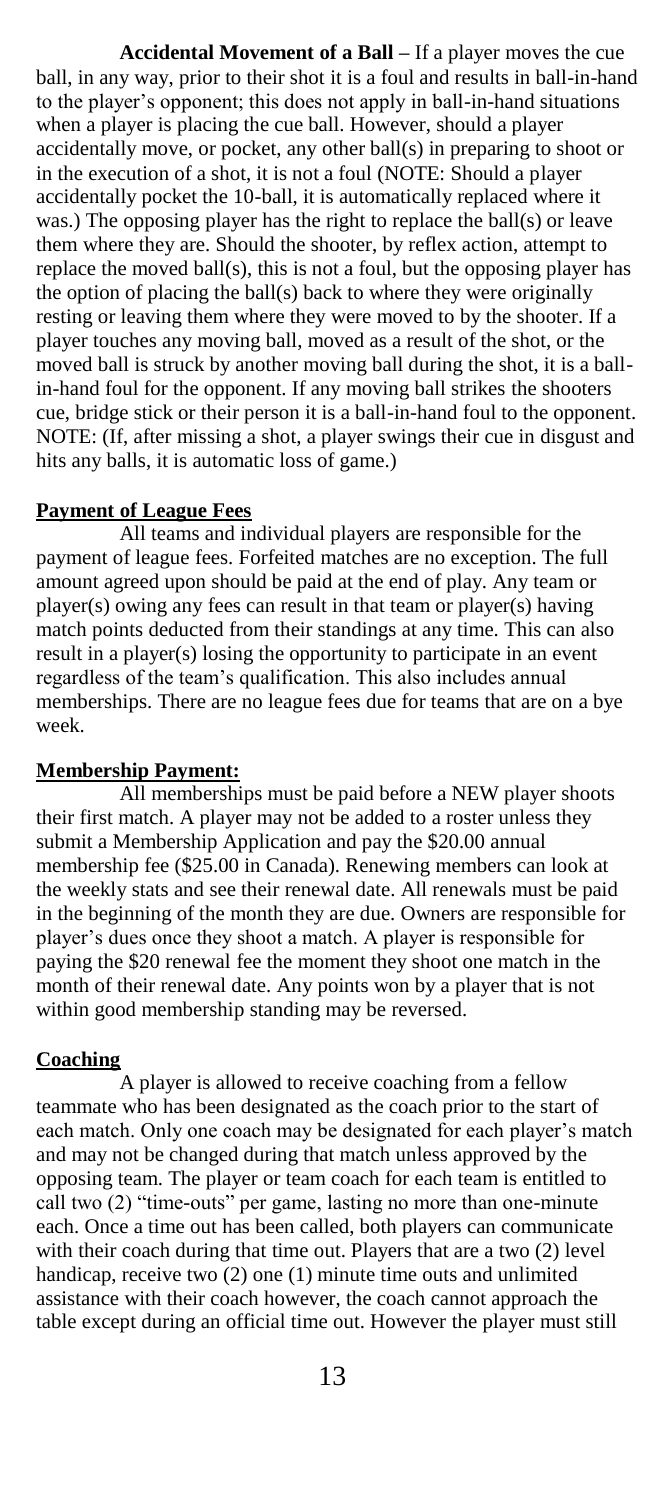**Accidental Movement of a Ball –** If a player moves the cue ball, in any way, prior to their shot it is a foul and results in ball-in-hand to the player"s opponent; this does not apply in ball-in-hand situations when a player is placing the cue ball. However, should a player accidentally move, or pocket, any other ball(s) in preparing to shoot or in the execution of a shot, it is not a foul (NOTE: Should a player accidentally pocket the 10-ball, it is automatically replaced where it was.) The opposing player has the right to replace the ball(s) or leave them where they are. Should the shooter, by reflex action, attempt to replace the moved ball(s), this is not a foul, but the opposing player has the option of placing the ball(s) back to where they were originally resting or leaving them where they were moved to by the shooter. If a player touches any moving ball, moved as a result of the shot, or the moved ball is struck by another moving ball during the shot, it is a ballin-hand foul for the opponent. If any moving ball strikes the shooters cue, bridge stick or their person it is a ball-in-hand foul to the opponent. NOTE: (If, after missing a shot, a player swings their cue in disgust and hits any balls, it is automatic loss of game.)

#### **Payment of League Fees**

All teams and individual players are responsible for the payment of league fees. Forfeited matches are no exception. The full amount agreed upon should be paid at the end of play. Any team or player(s) owing any fees can result in that team or player(s) having match points deducted from their standings at any time. This can also result in a player(s) losing the opportunity to participate in an event regardless of the team"s qualification. This also includes annual memberships. There are no league fees due for teams that are on a bye week.

### **Membership Payment:**

All memberships must be paid before a NEW player shoots their first match. A player may not be added to a roster unless they submit a Membership Application and pay the \$20.00 annual membership fee (\$25.00 in Canada). Renewing members can look at the weekly stats and see their renewal date. All renewals must be paid in the beginning of the month they are due. Owners are responsible for player"s dues once they shoot a match. A player is responsible for paying the \$20 renewal fee the moment they shoot one match in the month of their renewal date. Any points won by a player that is not within good membership standing may be reversed.

#### **Coaching**

A player is allowed to receive coaching from a fellow teammate who has been designated as the coach prior to the start of each match. Only one coach may be designated for each player's match and may not be changed during that match unless approved by the opposing team. The player or team coach for each team is entitled to call two (2) "time-outs" per game, lasting no more than one-minute each. Once a time out has been called, both players can communicate with their coach during that time out. Players that are a two (2) level handicap, receive two (2) one (1) minute time outs and unlimited assistance with their coach however, the coach cannot approach the table except during an official time out. However the player must still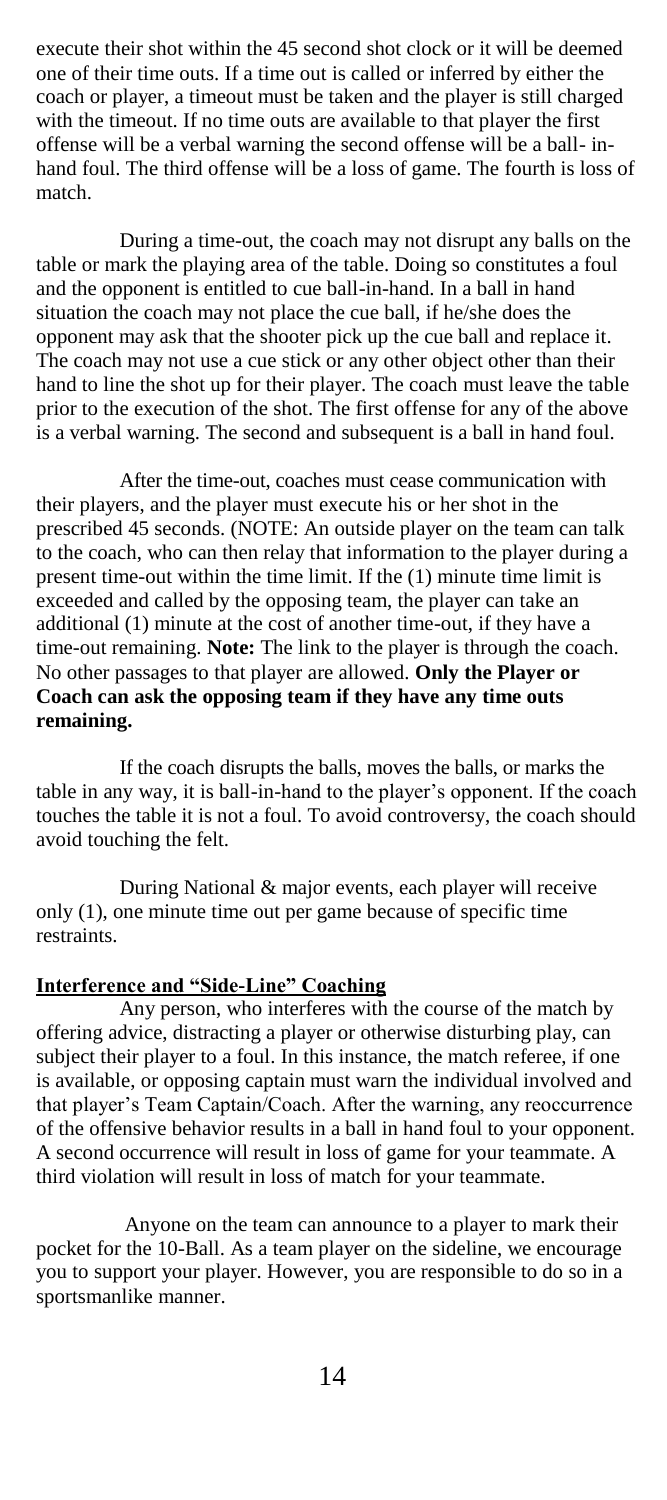execute their shot within the 45 second shot clock or it will be deemed one of their time outs. If a time out is called or inferred by either the coach or player, a timeout must be taken and the player is still charged with the timeout. If no time outs are available to that player the first offense will be a verbal warning the second offense will be a ball- inhand foul. The third offense will be a loss of game. The fourth is loss of match.

During a time-out, the coach may not disrupt any balls on the table or mark the playing area of the table. Doing so constitutes a foul and the opponent is entitled to cue ball-in-hand. In a ball in hand situation the coach may not place the cue ball, if he/she does the opponent may ask that the shooter pick up the cue ball and replace it. The coach may not use a cue stick or any other object other than their hand to line the shot up for their player. The coach must leave the table prior to the execution of the shot. The first offense for any of the above is a verbal warning. The second and subsequent is a ball in hand foul.

After the time-out, coaches must cease communication with their players, and the player must execute his or her shot in the prescribed 45 seconds. (NOTE: An outside player on the team can talk to the coach, who can then relay that information to the player during a present time-out within the time limit. If the (1) minute time limit is exceeded and called by the opposing team, the player can take an additional (1) minute at the cost of another time-out, if they have a time-out remaining. **Note:** The link to the player is through the coach. No other passages to that player are allowed. **Only the Player or Coach can ask the opposing team if they have any time outs remaining.**

If the coach disrupts the balls, moves the balls, or marks the table in any way, it is ball-in-hand to the player's opponent. If the coach touches the table it is not a foul. To avoid controversy, the coach should avoid touching the felt.

During National & major events, each player will receive only (1), one minute time out per game because of specific time restraints.

### **Interference and "Side-Line" Coaching**

Any person, who interferes with the course of the match by offering advice, distracting a player or otherwise disturbing play, can subject their player to a foul. In this instance, the match referee, if one is available, or opposing captain must warn the individual involved and that player"s Team Captain/Coach. After the warning, any reoccurrence of the offensive behavior results in a ball in hand foul to your opponent. A second occurrence will result in loss of game for your teammate. A third violation will result in loss of match for your teammate.

Anyone on the team can announce to a player to mark their pocket for the 10-Ball. As a team player on the sideline, we encourage you to support your player. However, you are responsible to do so in a sportsmanlike manner.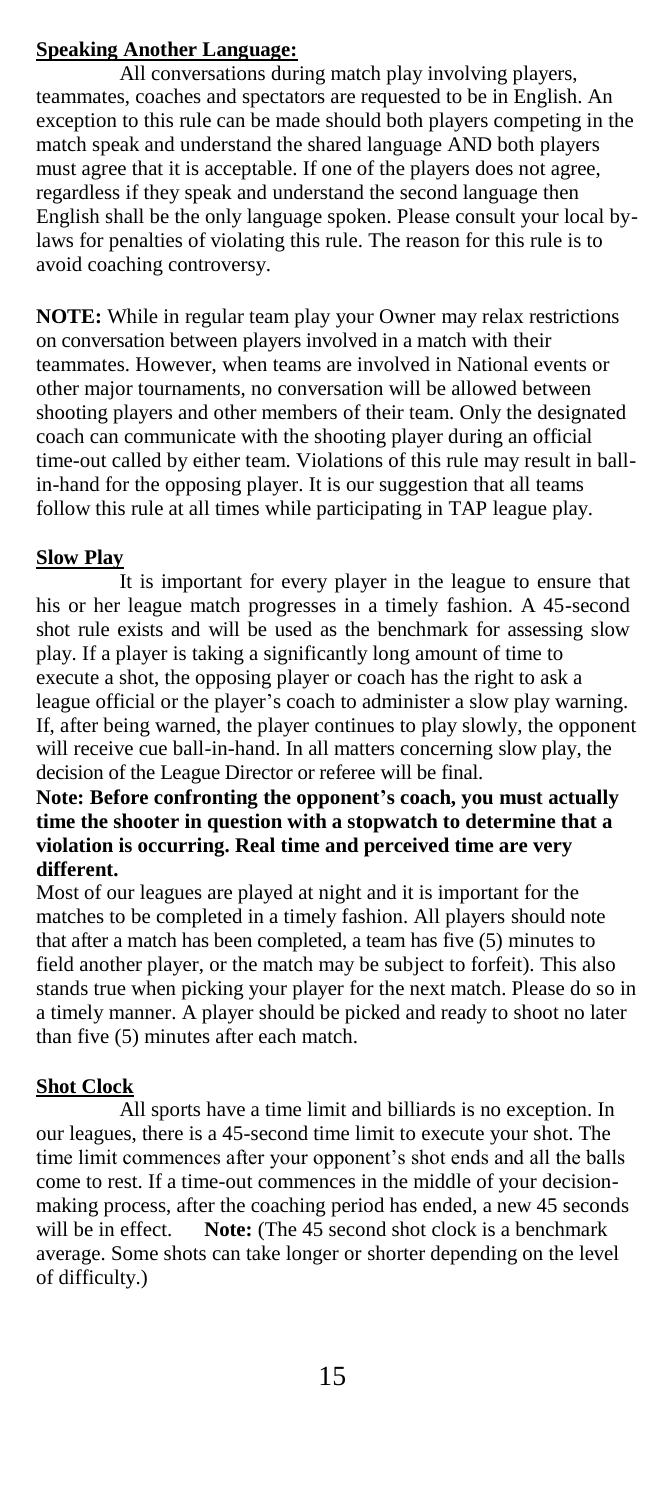# **Speaking Another Language:**

All conversations during match play involving players, teammates, coaches and spectators are requested to be in English. An exception to this rule can be made should both players competing in the match speak and understand the shared language AND both players must agree that it is acceptable. If one of the players does not agree, regardless if they speak and understand the second language then English shall be the only language spoken. Please consult your local bylaws for penalties of violating this rule. The reason for this rule is to avoid coaching controversy.

**NOTE:** While in regular team play your Owner may relax restrictions on conversation between players involved in a match with their teammates. However, when teams are involved in National events or other major tournaments, no conversation will be allowed between shooting players and other members of their team. Only the designated coach can communicate with the shooting player during an official time-out called by either team. Violations of this rule may result in ballin-hand for the opposing player. It is our suggestion that all teams follow this rule at all times while participating in TAP league play.

# **Slow Play**

It is important for every player in the league to ensure that his or her league match progresses in a timely fashion. A 45-second shot rule exists and will be used as the benchmark for assessing slow play. If a player is taking a significantly long amount of time to execute a shot, the opposing player or coach has the right to ask a league official or the player's coach to administer a slow play warning. If, after being warned, the player continues to play slowly, the opponent will receive cue ball-in-hand. In all matters concerning slow play, the decision of the League Director or referee will be final.

## **Note: Before confronting the opponent's coach, you must actually time the shooter in question with a stopwatch to determine that a violation is occurring. Real time and perceived time are very different.**

Most of our leagues are played at night and it is important for the matches to be completed in a timely fashion. All players should note that after a match has been completed, a team has five (5) minutes to field another player, or the match may be subject to forfeit). This also stands true when picking your player for the next match. Please do so in a timely manner. A player should be picked and ready to shoot no later than five (5) minutes after each match.

# **Shot Clock**

All sports have a time limit and billiards is no exception. In our leagues, there is a 45-second time limit to execute your shot. The time limit commences after your opponent's shot ends and all the balls come to rest. If a time-out commences in the middle of your decisionmaking process, after the coaching period has ended, a new 45 seconds will be in effect. **Note:** (The 45 second shot clock is a benchmark average. Some shots can take longer or shorter depending on the level of difficulty.)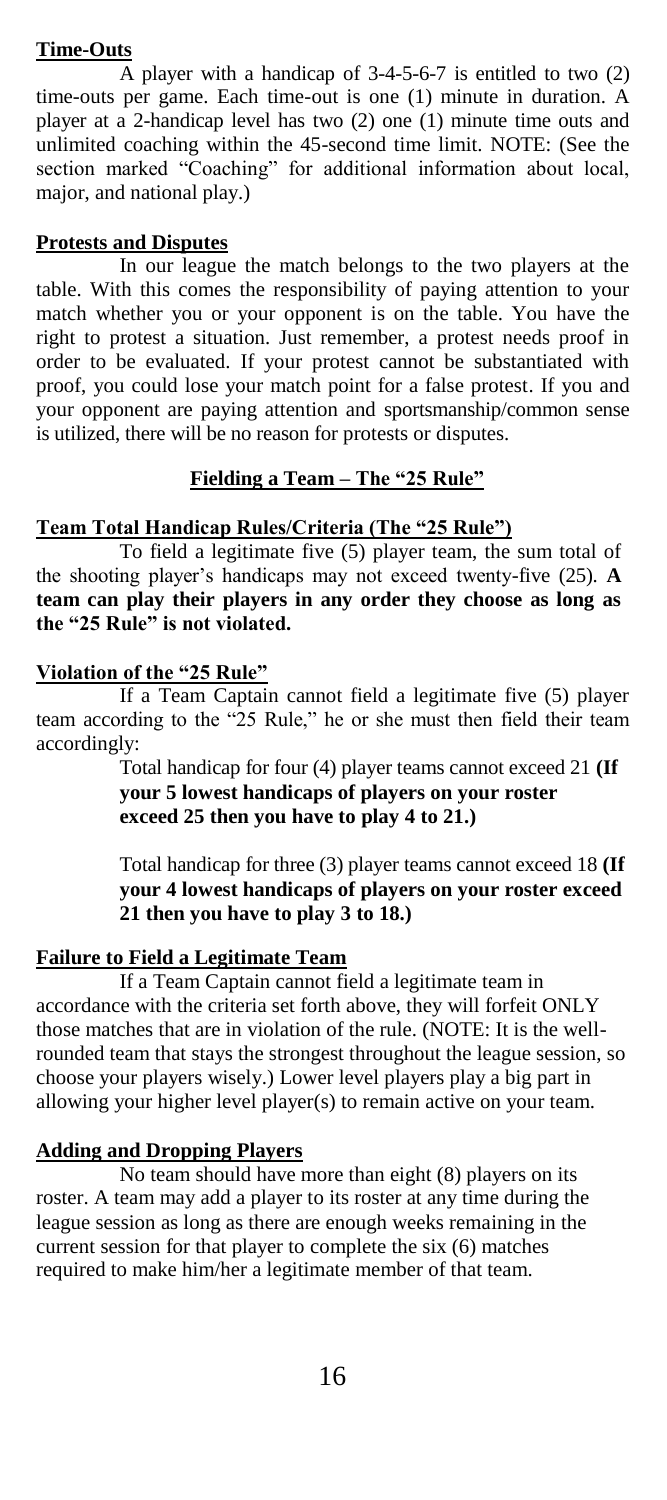## **Time-Outs**

A player with a handicap of 3-4-5-6-7 is entitled to two (2) time-outs per game. Each time-out is one (1) minute in duration. A player at a 2-handicap level has two (2) one (1) minute time outs and unlimited coaching within the 45-second time limit. NOTE: (See the section marked "Coaching" for additional information about local, major, and national play.)

## **Protests and Disputes**

In our league the match belongs to the two players at the table. With this comes the responsibility of paying attention to your match whether you or your opponent is on the table. You have the right to protest a situation. Just remember, a protest needs proof in order to be evaluated. If your protest cannot be substantiated with proof, you could lose your match point for a false protest. If you and your opponent are paying attention and sportsmanship/common sense is utilized, there will be no reason for protests or disputes.

## **Fielding a Team – The "25 Rule"**

## **Team Total Handicap Rules/Criteria (The "25 Rule")**

To field a legitimate five (5) player team, the sum total of the shooting player"s handicaps may not exceed twenty-five (25). **A team can play their players in any order they choose as long as the "25 Rule" is not violated.**

## **Violation of the "25 Rule"**

If a Team Captain cannot field a legitimate five (5) player team according to the "25 Rule," he or she must then field their team accordingly:

> Total handicap for four (4) player teams cannot exceed 21 **(If your 5 lowest handicaps of players on your roster exceed 25 then you have to play 4 to 21.)**

Total handicap for three (3) player teams cannot exceed 18 **(If your 4 lowest handicaps of players on your roster exceed 21 then you have to play 3 to 18.)**

## **Failure to Field a Legitimate Team**

If a Team Captain cannot field a legitimate team in accordance with the criteria set forth above, they will forfeit ONLY those matches that are in violation of the rule. (NOTE: It is the wellrounded team that stays the strongest throughout the league session, so choose your players wisely.) Lower level players play a big part in allowing your higher level player(s) to remain active on your team.

# **Adding and Dropping Players**

No team should have more than eight (8) players on its roster. A team may add a player to its roster at any time during the league session as long as there are enough weeks remaining in the current session for that player to complete the six (6) matches required to make him/her a legitimate member of that team.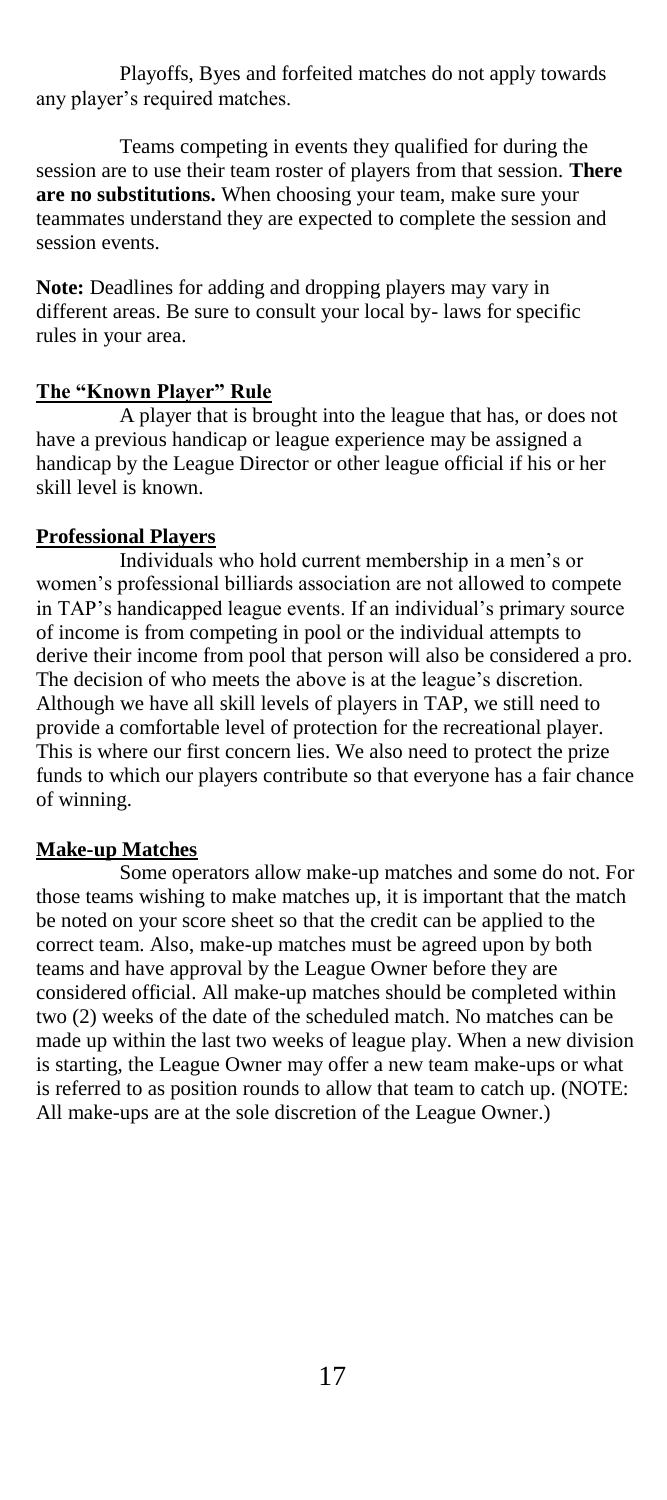Playoffs, Byes and forfeited matches do not apply towards any player"s required matches.

Teams competing in events they qualified for during the session are to use their team roster of players from that session. **There are no substitutions.** When choosing your team, make sure your teammates understand they are expected to complete the session and session events.

**Note:** Deadlines for adding and dropping players may vary in different areas. Be sure to consult your local by- laws for specific rules in your area.

## **The "Known Player" Rule**

A player that is brought into the league that has, or does not have a previous handicap or league experience may be assigned a handicap by the League Director or other league official if his or her skill level is known.

## **Professional Players**

Individuals who hold current membership in a men"s or women"s professional billiards association are not allowed to compete in TAP"s handicapped league events. If an individual"s primary source of income is from competing in pool or the individual attempts to derive their income from pool that person will also be considered a pro. The decision of who meets the above is at the league's discretion. Although we have all skill levels of players in TAP, we still need to provide a comfortable level of protection for the recreational player. This is where our first concern lies. We also need to protect the prize funds to which our players contribute so that everyone has a fair chance of winning.

# **Make-up Matches**

Some operators allow make-up matches and some do not. For those teams wishing to make matches up, it is important that the match be noted on your score sheet so that the credit can be applied to the correct team. Also, make-up matches must be agreed upon by both teams and have approval by the League Owner before they are considered official. All make-up matches should be completed within two (2) weeks of the date of the scheduled match. No matches can be made up within the last two weeks of league play. When a new division is starting, the League Owner may offer a new team make-ups or what is referred to as position rounds to allow that team to catch up. (NOTE: All make-ups are at the sole discretion of the League Owner.)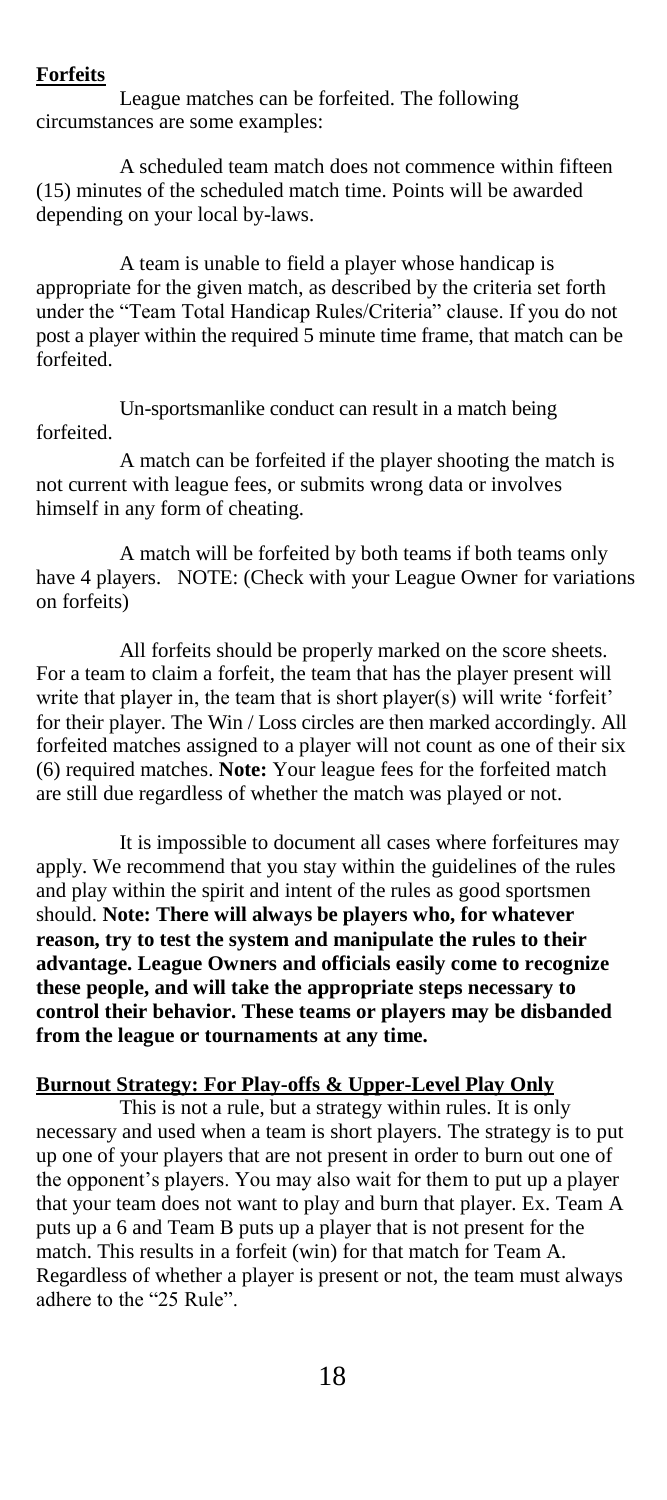### **Forfeits**

League matches can be forfeited. The following circumstances are some examples:

A scheduled team match does not commence within fifteen (15) minutes of the scheduled match time. Points will be awarded depending on your local by-laws.

A team is unable to field a player whose handicap is appropriate for the given match, as described by the criteria set forth under the "Team Total Handicap Rules/Criteria" clause. If you do not post a player within the required 5 minute time frame, that match can be forfeited.

Un-sportsmanlike conduct can result in a match being forfeited.

A match can be forfeited if the player shooting the match is not current with league fees, or submits wrong data or involves himself in any form of cheating.

A match will be forfeited by both teams if both teams only have 4 players. NOTE: (Check with your League Owner for variations on forfeits)

All forfeits should be properly marked on the score sheets. For a team to claim a forfeit, the team that has the player present will write that player in, the team that is short player(s) will write 'forfeit' for their player. The Win / Loss circles are then marked accordingly. All forfeited matches assigned to a player will not count as one of their six (6) required matches. **Note:** Your league fees for the forfeited match are still due regardless of whether the match was played or not.

It is impossible to document all cases where forfeitures may apply. We recommend that you stay within the guidelines of the rules and play within the spirit and intent of the rules as good sportsmen should. **Note: There will always be players who, for whatever reason, try to test the system and manipulate the rules to their advantage. League Owners and officials easily come to recognize these people, and will take the appropriate steps necessary to control their behavior. These teams or players may be disbanded from the league or tournaments at any time.**

### **Burnout Strategy: For Play-offs & Upper-Level Play Only**

This is not a rule, but a strategy within rules. It is only necessary and used when a team is short players. The strategy is to put up one of your players that are not present in order to burn out one of the opponent's players. You may also wait for them to put up a player that your team does not want to play and burn that player. Ex. Team A puts up a 6 and Team B puts up a player that is not present for the match. This results in a forfeit (win) for that match for Team A. Regardless of whether a player is present or not, the team must always adhere to the "25 Rule".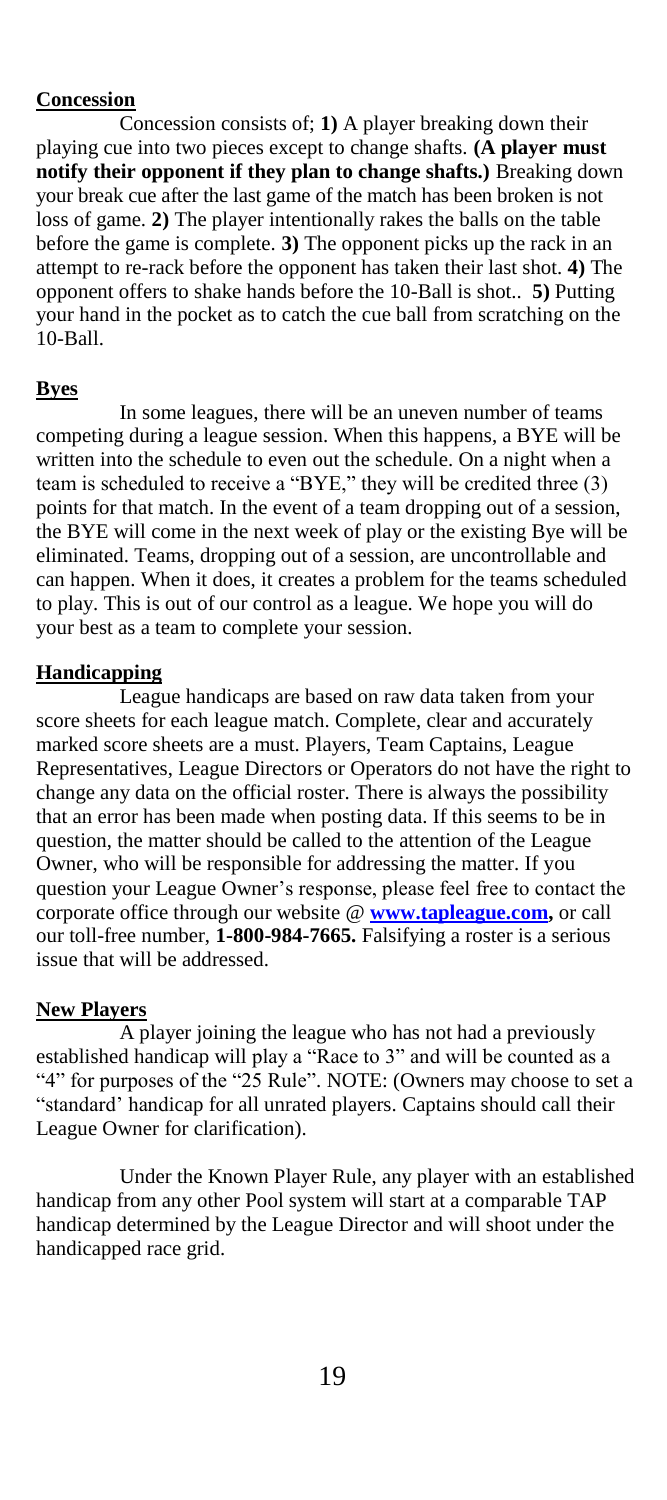### **Concession**

Concession consists of; **1)** A player breaking down their playing cue into two pieces except to change shafts. **(A player must notify their opponent if they plan to change shafts.)** Breaking down your break cue after the last game of the match has been broken is not loss of game. **2)** The player intentionally rakes the balls on the table before the game is complete. **3)** The opponent picks up the rack in an attempt to re-rack before the opponent has taken their last shot. **4)** The opponent offers to shake hands before the 10-Ball is shot.. **5)** Putting your hand in the pocket as to catch the cue ball from scratching on the 10-Ball.

## **Byes**

In some leagues, there will be an uneven number of teams competing during a league session. When this happens, a BYE will be written into the schedule to even out the schedule. On a night when a team is scheduled to receive a "BYE," they will be credited three (3) points for that match. In the event of a team dropping out of a session, the BYE will come in the next week of play or the existing Bye will be eliminated. Teams, dropping out of a session, are uncontrollable and can happen. When it does, it creates a problem for the teams scheduled to play. This is out of our control as a league. We hope you will do your best as a team to complete your session.

### **Handicapping**

League handicaps are based on raw data taken from your score sheets for each league match. Complete, clear and accurately marked score sheets are a must. Players, Team Captains, League Representatives, League Directors or Operators do not have the right to change any data on the official roster. There is always the possibility that an error has been made when posting data. If this seems to be in question, the matter should be called to the attention of the League Owner, who will be responsible for addressing the matter. If you question your League Owner"s response, please feel free to contact the corporate office through our website @ **[www.tapleague.com,](http://www.tapleague.com/)** or call our toll-free number, **1-800-984-7665.** Falsifying a roster is a serious issue that will be addressed.

#### **New Players**

A player joining the league who has not had a previously established handicap will play a "Race to 3" and will be counted as a "4" for purposes of the "25 Rule". NOTE: (Owners may choose to set a "standard" handicap for all unrated players. Captains should call their League Owner for clarification).

Under the Known Player Rule, any player with an established handicap from any other Pool system will start at a comparable TAP handicap determined by the League Director and will shoot under the handicapped race grid.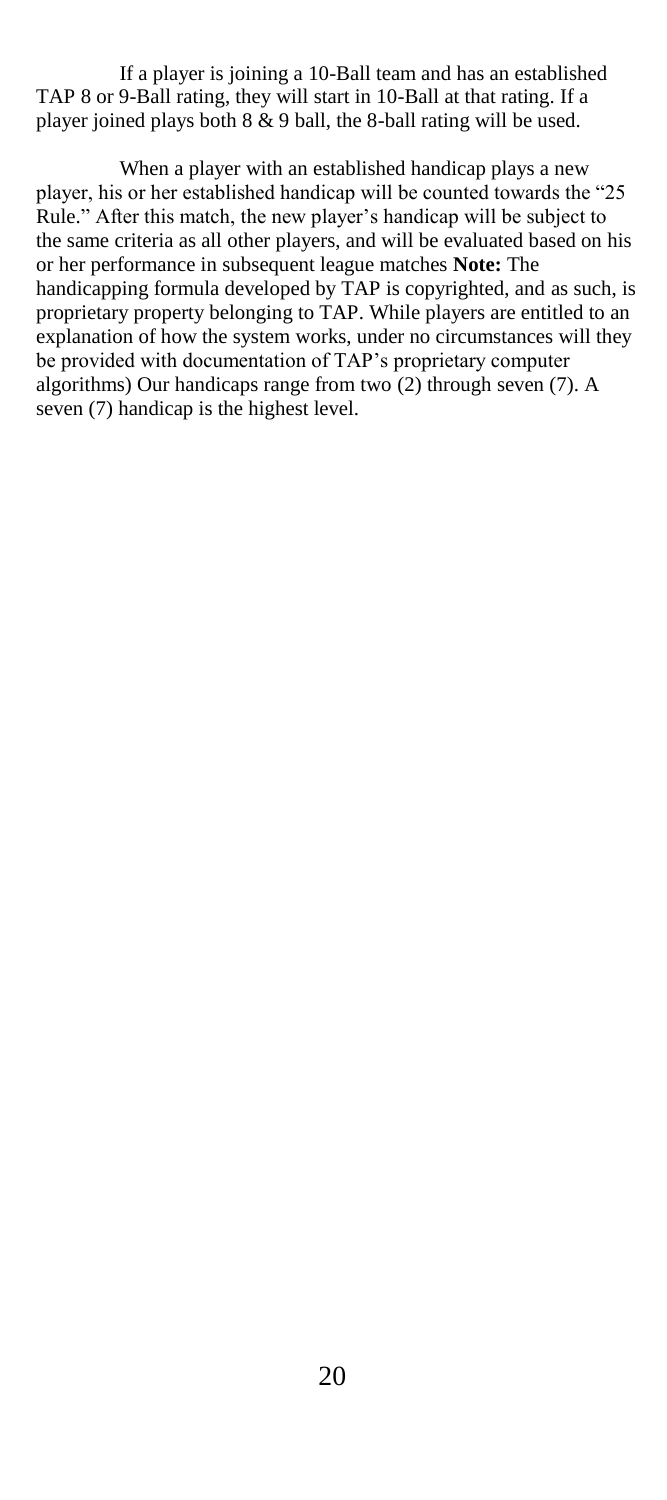If a player is joining a 10-Ball team and has an established TAP 8 or 9-Ball rating, they will start in 10-Ball at that rating. If a player joined plays both 8 & 9 ball, the 8-ball rating will be used.

When a player with an established handicap plays a new player, his or her established handicap will be counted towards the "25 Rule." After this match, the new player's handicap will be subject to the same criteria as all other players, and will be evaluated based on his or her performance in subsequent league matches **Note:** The handicapping formula developed by TAP is copyrighted, and as such, is proprietary property belonging to TAP. While players are entitled to an explanation of how the system works, under no circumstances will they be provided with documentation of TAP"s proprietary computer algorithms) Our handicaps range from two (2) through seven (7). A seven (7) handicap is the highest level.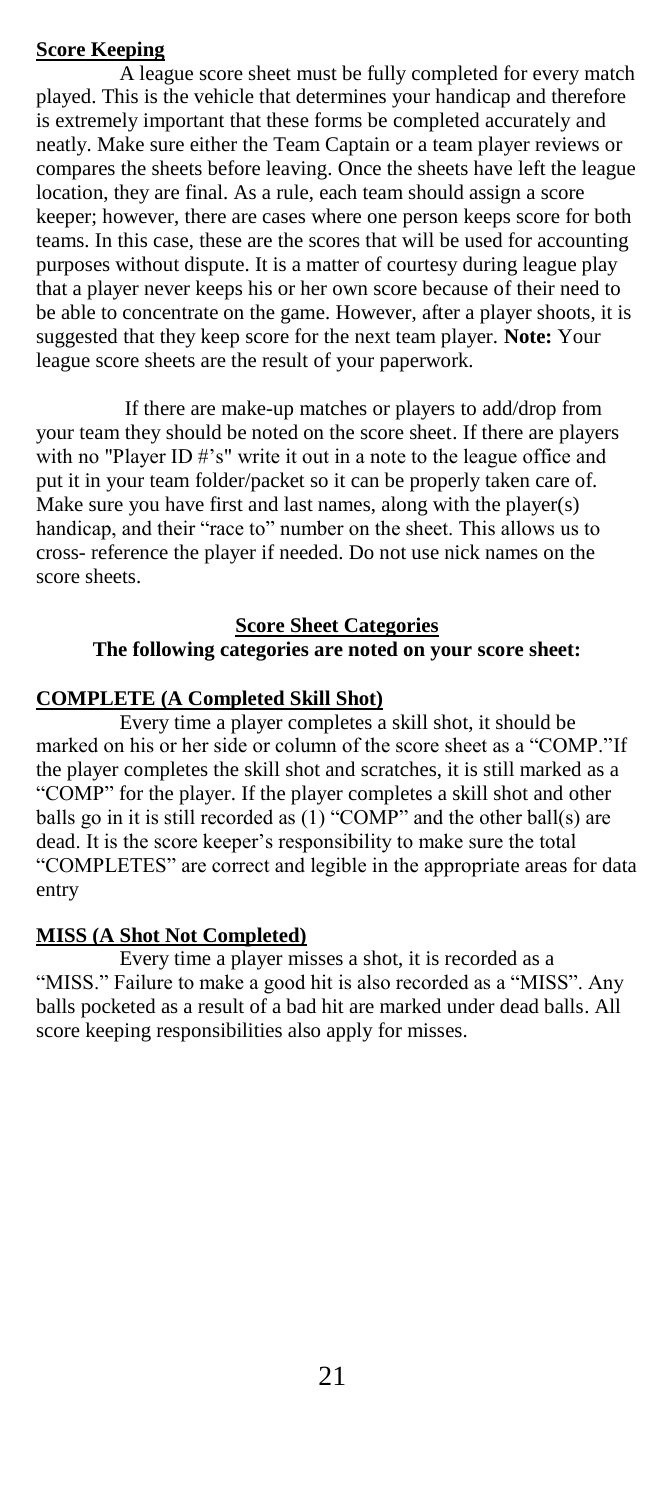# **Score Keeping**

A league score sheet must be fully completed for every match played. This is the vehicle that determines your handicap and therefore is extremely important that these forms be completed accurately and neatly. Make sure either the Team Captain or a team player reviews or compares the sheets before leaving. Once the sheets have left the league location, they are final. As a rule, each team should assign a score keeper; however, there are cases where one person keeps score for both teams. In this case, these are the scores that will be used for accounting purposes without dispute. It is a matter of courtesy during league play that a player never keeps his or her own score because of their need to be able to concentrate on the game. However, after a player shoots, it is suggested that they keep score for the next team player. **Note:** Your league score sheets are the result of your paperwork.

If there are make-up matches or players to add/drop from your team they should be noted on the score sheet. If there are players with no "Player ID #'s" write it out in a note to the league office and put it in your team folder/packet so it can be properly taken care of. Make sure you have first and last names, along with the player(s) handicap, and their "race to" number on the sheet. This allows us to cross- reference the player if needed. Do not use nick names on the score sheets.

# **Score Sheet Categories The following categories are noted on your score sheet:**

# **COMPLETE (A Completed Skill Shot)**

Every time a player completes a skill shot, it should be marked on his or her side or column of the score sheet as a "COMP."If the player completes the skill shot and scratches, it is still marked as a "COMP" for the player. If the player completes a skill shot and other balls go in it is still recorded as  $(1)$  "COMP" and the other ball(s) are dead. It is the score keeper"s responsibility to make sure the total "COMPLETES" are correct and legible in the appropriate areas for data entry

## **MISS (A Shot Not Completed)**

Every time a player misses a shot, it is recorded as a "MISS." Failure to make a good hit is also recorded as a "MISS". Any balls pocketed as a result of a bad hit are marked under dead balls. All score keeping responsibilities also apply for misses.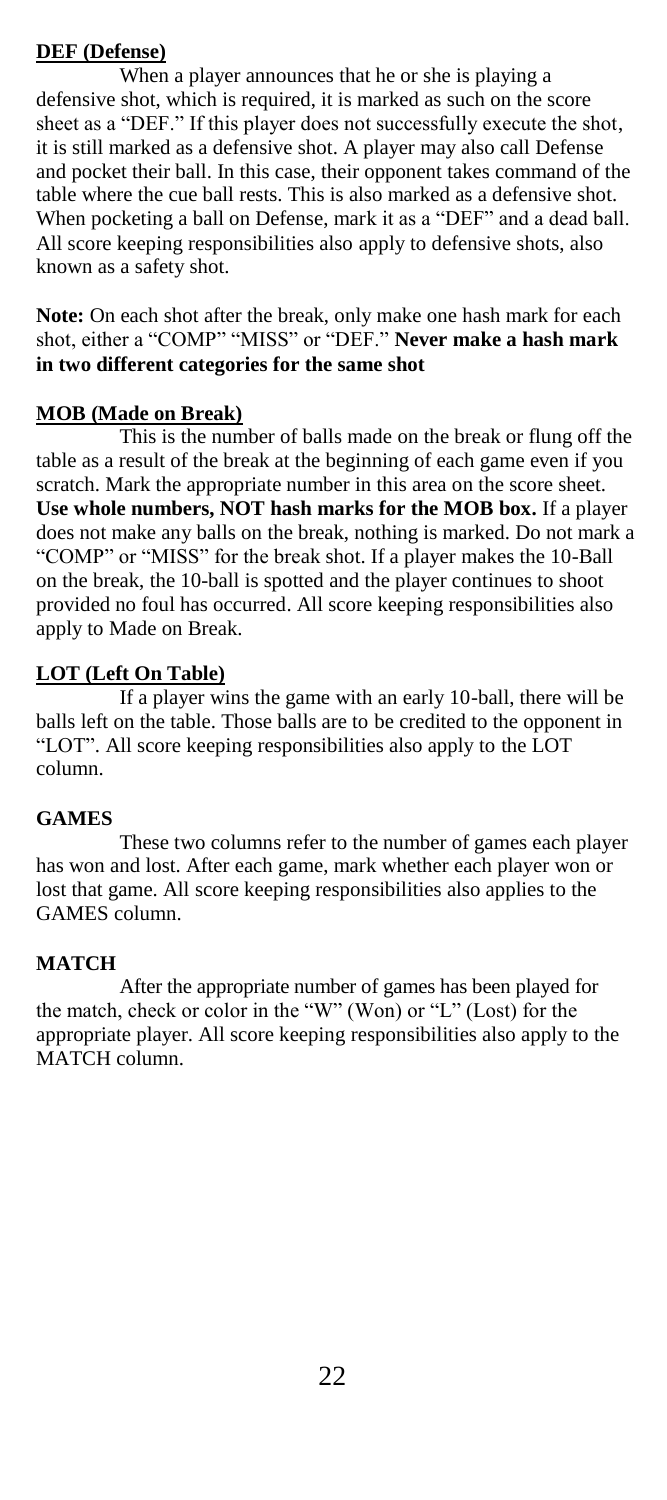# **DEF (Defense)**

When a player announces that he or she is playing a defensive shot, which is required, it is marked as such on the score sheet as a "DEF." If this player does not successfully execute the shot, it is still marked as a defensive shot. A player may also call Defense and pocket their ball. In this case, their opponent takes command of the table where the cue ball rests. This is also marked as a defensive shot. When pocketing a ball on Defense, mark it as a "DEF" and a dead ball. All score keeping responsibilities also apply to defensive shots, also known as a safety shot.

**Note:** On each shot after the break, only make one hash mark for each shot, either a "COMP" "MISS" or "DEF." **Never make a hash mark in two different categories for the same shot**

# **MOB (Made on Break)**

This is the number of balls made on the break or flung off the table as a result of the break at the beginning of each game even if you scratch. Mark the appropriate number in this area on the score sheet. **Use whole numbers, NOT hash marks for the MOB box.** If a player does not make any balls on the break, nothing is marked. Do not mark a "COMP" or "MISS" for the break shot. If a player makes the 10-Ball on the break, the 10-ball is spotted and the player continues to shoot provided no foul has occurred. All score keeping responsibilities also apply to Made on Break.

# **LOT (Left On Table)**

If a player wins the game with an early 10-ball, there will be balls left on the table. Those balls are to be credited to the opponent in "LOT". All score keeping responsibilities also apply to the LOT column.

# **GAMES**

These two columns refer to the number of games each player has won and lost. After each game, mark whether each player won or lost that game. All score keeping responsibilities also applies to the GAMES column.

# **MATCH**

After the appropriate number of games has been played for the match, check or color in the "W" (Won) or "L" (Lost) for the appropriate player. All score keeping responsibilities also apply to the MATCH column.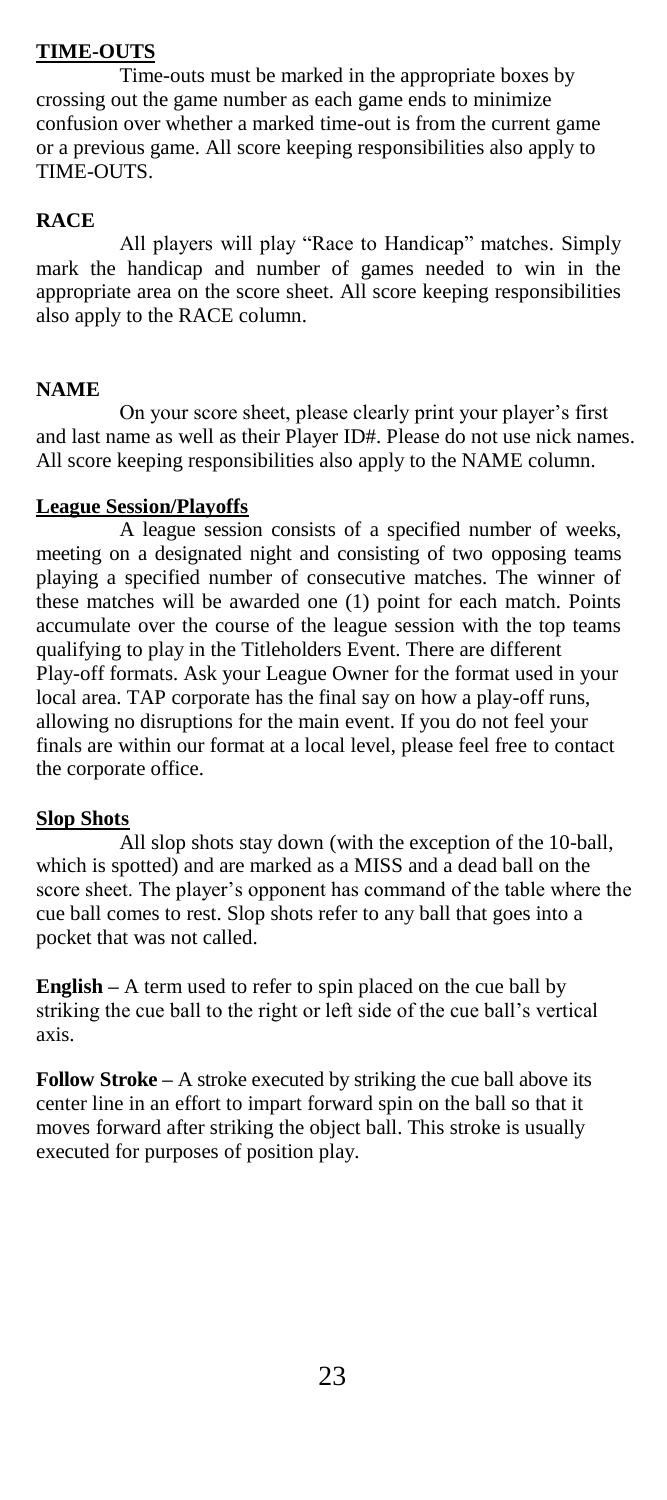# **TIME-OUTS**

Time-outs must be marked in the appropriate boxes by crossing out the game number as each game ends to minimize confusion over whether a marked time-out is from the current game or a previous game. All score keeping responsibilities also apply to TIME-OUTS.

## **RACE**

All players will play "Race to Handicap" matches. Simply mark the handicap and number of games needed to win in the appropriate area on the score sheet. All score keeping responsibilities also apply to the RACE column.

## **NAME**

On your score sheet, please clearly print your player"s first and last name as well as their Player ID#. Please do not use nick names. All score keeping responsibilities also apply to the NAME column.

## **League Session/Playoffs**

A league session consists of a specified number of weeks, meeting on a designated night and consisting of two opposing teams playing a specified number of consecutive matches. The winner of these matches will be awarded one (1) point for each match. Points accumulate over the course of the league session with the top teams qualifying to play in the Titleholders Event. There are different Play-off formats. Ask your League Owner for the format used in your local area. TAP corporate has the final say on how a play-off runs, allowing no disruptions for the main event. If you do not feel your finals are within our format at a local level, please feel free to contact the corporate office.

# **Slop Shots**

All slop shots stay down (with the exception of the 10-ball, which is spotted) and are marked as a MISS and a dead ball on the score sheet. The player's opponent has command of the table where the cue ball comes to rest. Slop shots refer to any ball that goes into a pocket that was not called.

**English –** A term used to refer to spin placed on the cue ball by striking the cue ball to the right or left side of the cue ball"s vertical axis.

**Follow Stroke –** A stroke executed by striking the cue ball above its center line in an effort to impart forward spin on the ball so that it moves forward after striking the object ball. This stroke is usually executed for purposes of position play.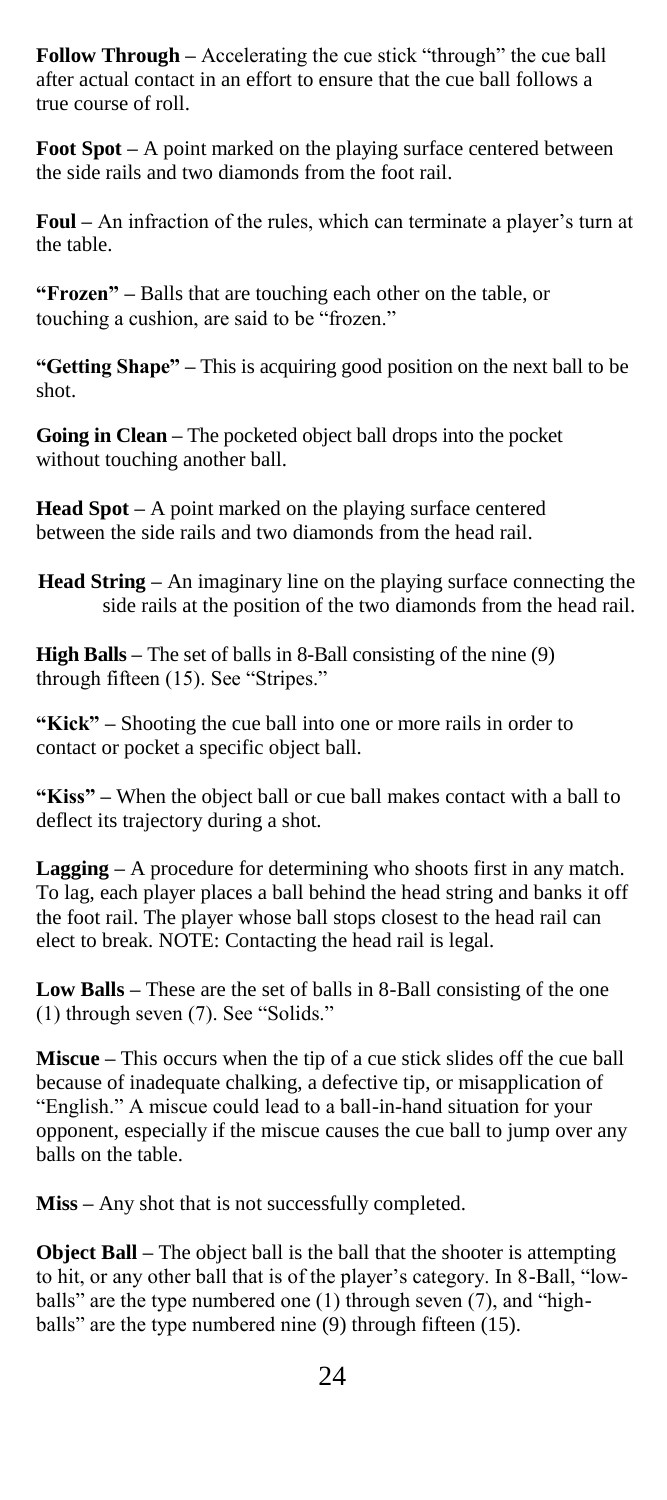**Follow Through –** Accelerating the cue stick "through" the cue ball after actual contact in an effort to ensure that the cue ball follows a true course of roll.

**Foot Spot –** A point marked on the playing surface centered between the side rails and two diamonds from the foot rail.

**Foul** – An infraction of the rules, which can terminate a player's turn at the table.

**"Frozen" –** Balls that are touching each other on the table, or touching a cushion, are said to be "frozen."

**"Getting Shape" –** This is acquiring good position on the next ball to be shot.

**Going in Clean –** The pocketed object ball drops into the pocket without touching another ball.

**Head Spot –** A point marked on the playing surface centered between the side rails and two diamonds from the head rail.

**Head String –** An imaginary line on the playing surface connecting the side rails at the position of the two diamonds from the head rail.

**High Balls –** The set of balls in 8-Ball consisting of the nine (9) through fifteen (15). See "Stripes."

**"Kick" –** Shooting the cue ball into one or more rails in order to contact or pocket a specific object ball.

**"Kiss" –** When the object ball or cue ball makes contact with a ball to deflect its trajectory during a shot.

**Lagging –** A procedure for determining who shoots first in any match. To lag, each player places a ball behind the head string and banks it off the foot rail. The player whose ball stops closest to the head rail can elect to break. NOTE: Contacting the head rail is legal.

**Low Balls –** These are the set of balls in 8-Ball consisting of the one (1) through seven (7). See "Solids."

**Miscue –** This occurs when the tip of a cue stick slides off the cue ball because of inadequate chalking, a defective tip, or misapplication of "English." A miscue could lead to a ball-in-hand situation for your opponent, especially if the miscue causes the cue ball to jump over any balls on the table.

**Miss –** Any shot that is not successfully completed.

**Object Ball –** The object ball is the ball that the shooter is attempting to hit, or any other ball that is of the player"s category. In 8-Ball, "lowballs" are the type numbered one (1) through seven (7), and "highballs" are the type numbered nine (9) through fifteen (15).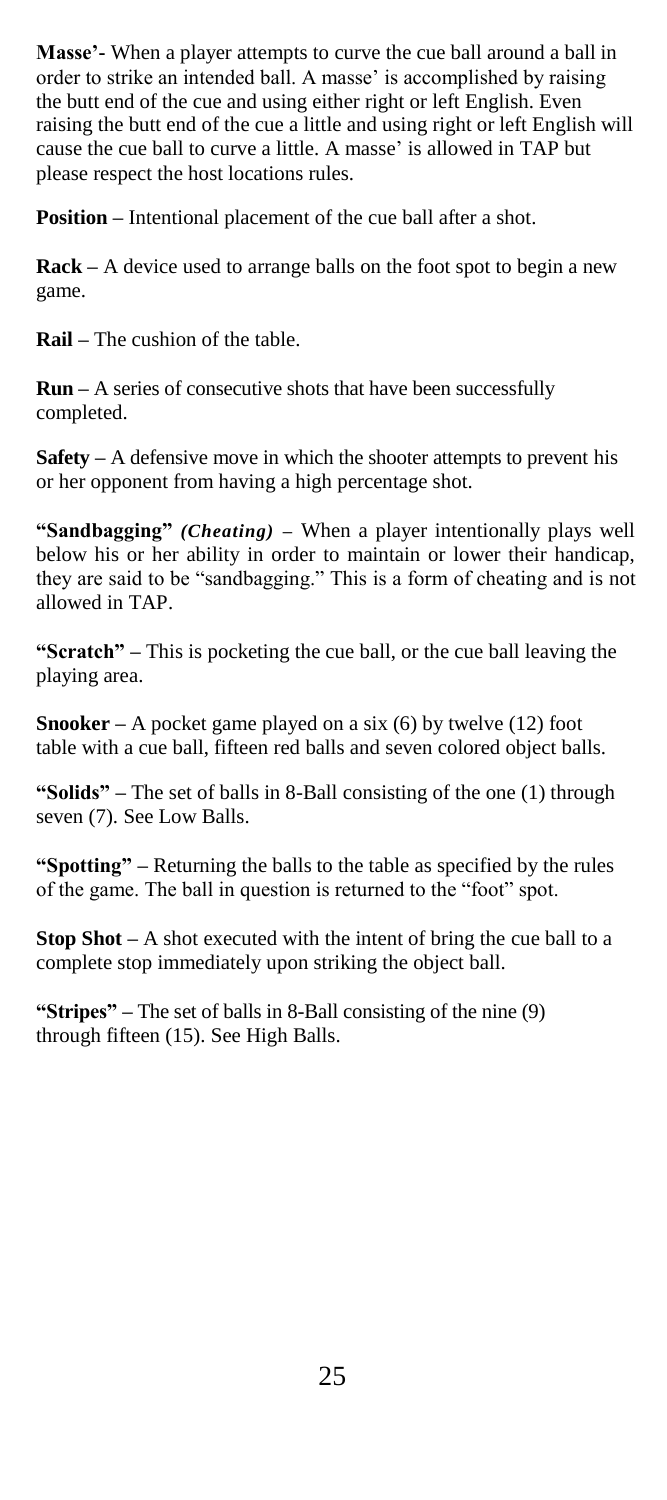**Masse'-** When a player attempts to curve the cue ball around a ball in order to strike an intended ball. A masse' is accomplished by raising the butt end of the cue and using either right or left English. Even raising the butt end of the cue a little and using right or left English will cause the cue ball to curve a little. A masse' is allowed in TAP but please respect the host locations rules.

**Position –** Intentional placement of the cue ball after a shot.

**Rack –** A device used to arrange balls on the foot spot to begin a new game.

**Rail –** The cushion of the table.

**Run –** A series of consecutive shots that have been successfully completed.

**Safety –** A defensive move in which the shooter attempts to prevent his or her opponent from having a high percentage shot.

**"Sandbagging"** *(Cheating) –* When a player intentionally plays well below his or her ability in order to maintain or lower their handicap, they are said to be "sandbagging." This is a form of cheating and is not allowed in TAP.

**"Scratch" –** This is pocketing the cue ball, or the cue ball leaving the playing area.

**Snooker –** A pocket game played on a six (6) by twelve (12) foot table with a cue ball, fifteen red balls and seven colored object balls.

**"Solids" –** The set of balls in 8-Ball consisting of the one (1) through seven (7). See Low Balls.

**"Spotting" –** Returning the balls to the table as specified by the rules of the game. The ball in question is returned to the "foot" spot.

**Stop Shot –** A shot executed with the intent of bring the cue ball to a complete stop immediately upon striking the object ball.

**"Stripes" –** The set of balls in 8-Ball consisting of the nine (9) through fifteen (15). See High Balls.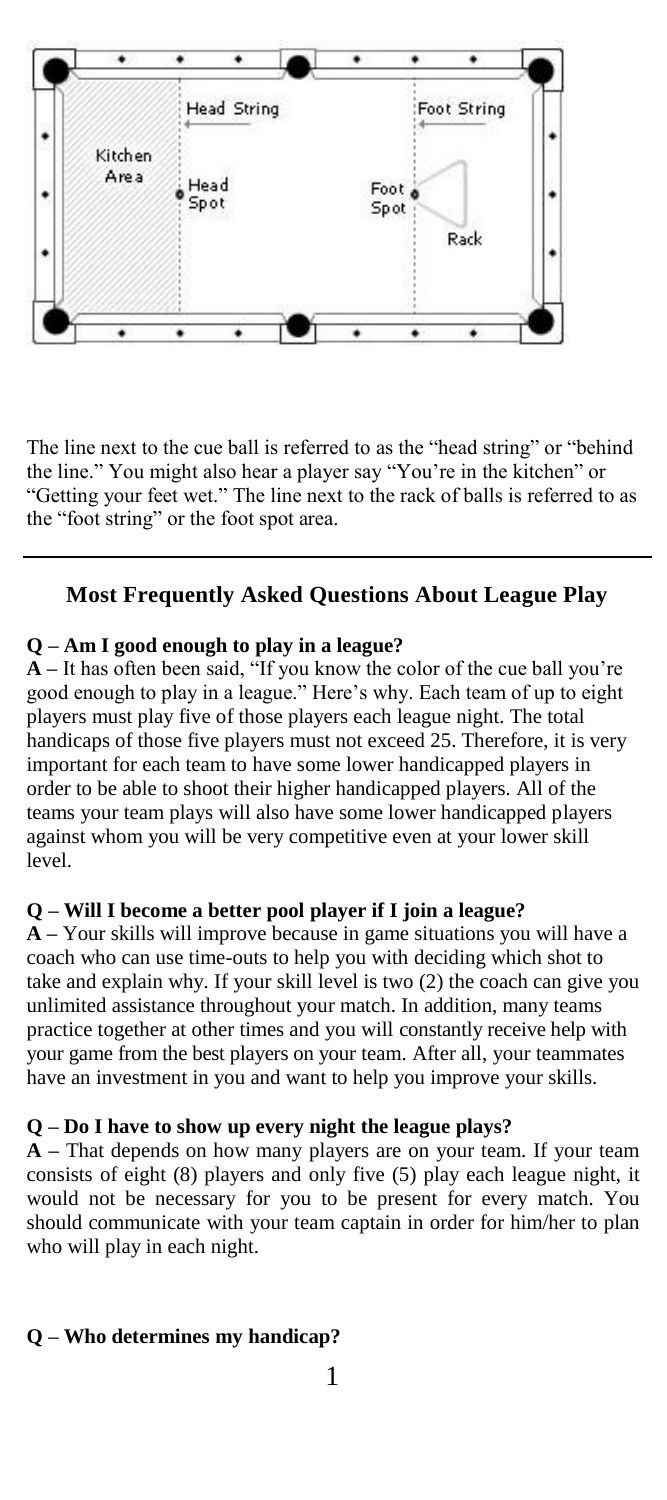

The line next to the cue ball is referred to as the "head string" or "behind the line." You might also hear a player say "You"re in the kitchen" or "Getting your feet wet." The line next to the rack of balls is referred to as the "foot string" or the foot spot area.

# **Most Frequently Asked Questions About League Play**

### **Q – Am I good enough to play in a league?**

**A –** It has often been said, "If you know the color of the cue ball you"re good enough to play in a league." Here"s why. Each team of up to eight players must play five of those players each league night. The total handicaps of those five players must not exceed 25. Therefore, it is very important for each team to have some lower handicapped players in order to be able to shoot their higher handicapped players. All of the teams your team plays will also have some lower handicapped players against whom you will be very competitive even at your lower skill level.

## **Q – Will I become a better pool player if I join a league?**

**A –** Your skills will improve because in game situations you will have a coach who can use time-outs to help you with deciding which shot to take and explain why. If your skill level is two (2) the coach can give you unlimited assistance throughout your match. In addition, many teams practice together at other times and you will constantly receive help with your game from the best players on your team. After all, your teammates have an investment in you and want to help you improve your skills.

## **Q – Do I have to show up every night the league plays?**

**A –** That depends on how many players are on your team. If your team consists of eight (8) players and only five (5) play each league night, it would not be necessary for you to be present for every match. You should communicate with your team captain in order for him/her to plan who will play in each night.

## **Q – Who determines my handicap?**